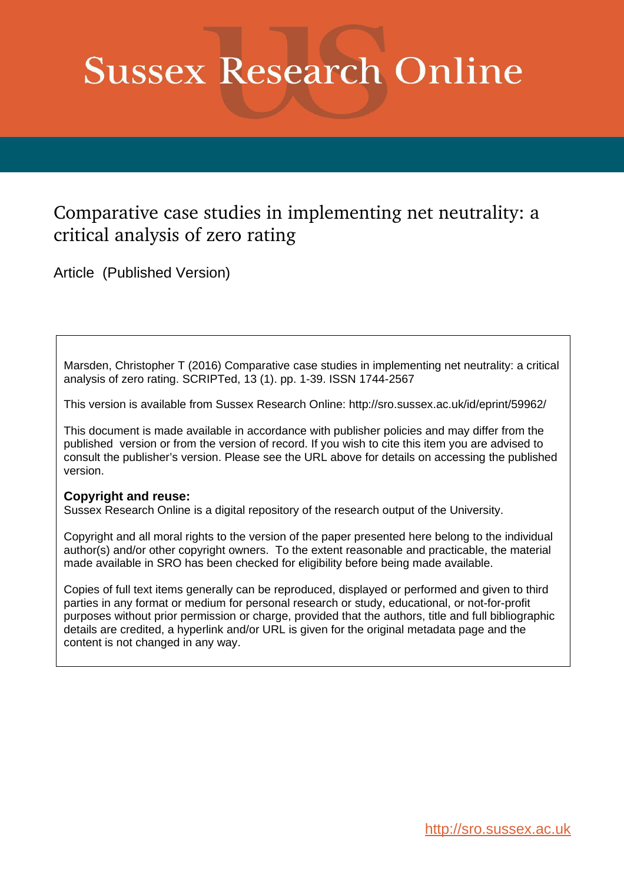# **Sussex Research Online**

## Comparative case studies in implementing net neutrality: a critical analysis of zero rating

Article (Published Version)

Marsden, Christopher T (2016) Comparative case studies in implementing net neutrality: a critical analysis of zero rating. SCRIPTed, 13 (1). pp. 1-39. ISSN 1744-2567

This version is available from Sussex Research Online: http://sro.sussex.ac.uk/id/eprint/59962/

This document is made available in accordance with publisher policies and may differ from the published version or from the version of record. If you wish to cite this item you are advised to consult the publisher's version. Please see the URL above for details on accessing the published version.

#### **Copyright and reuse:**

Sussex Research Online is a digital repository of the research output of the University.

Copyright and all moral rights to the version of the paper presented here belong to the individual author(s) and/or other copyright owners. To the extent reasonable and practicable, the material made available in SRO has been checked for eligibility before being made available.

Copies of full text items generally can be reproduced, displayed or performed and given to third parties in any format or medium for personal research or study, educational, or not-for-profit purposes without prior permission or charge, provided that the authors, title and full bibliographic details are credited, a hyperlink and/or URL is given for the original metadata page and the content is not changed in any way.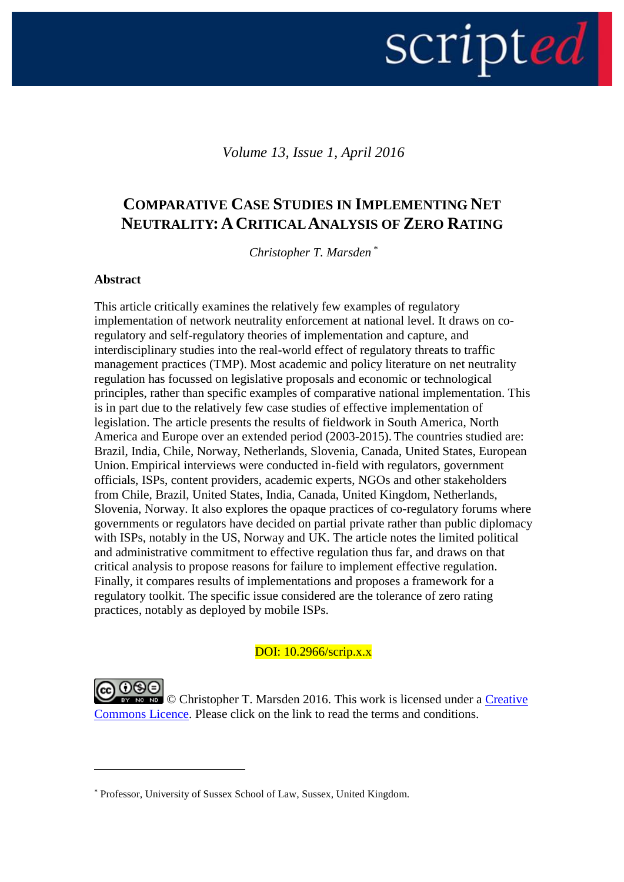# scripted |

#### *Volume 13, Issue 1, April 2016*

### **COMPARATIVE CASE STUDIES IN IMPLEMENTING NET NEUTRALITY: A CRITICAL ANALYSIS OF ZERO RATING**

*Christopher T. Marsden \**

#### **Abstract**

1

This article critically examines the relatively few examples of regulatory implementation of network neutrality enforcement at national level. It draws on coregulatory and self-regulatory theories of implementation and capture, and interdisciplinary studies into the real-world effect of regulatory threats to traffic management practices (TMP). Most academic and policy literature on net neutrality regulation has focussed on legislative proposals and economic or technological principles, rather than specific examples of comparative national implementation. This is in part due to the relatively few case studies of effective implementation of legislation. The article presents the results of fieldwork in South America, North America and Europe over an extended period (2003-2015). The countries studied are: Brazil, India, Chile, Norway, Netherlands, Slovenia, Canada, United States, European Union. Empirical interviews were conducted in-field with regulators, government officials, ISPs, content providers, academic experts, NGOs and other stakeholders from Chile, Brazil, United States, India, Canada, United Kingdom, Netherlands, Slovenia, Norway. It also explores the opaque practices of co-regulatory forums where governments or regulators have decided on partial private rather than public diplomacy with ISPs, notably in the US, Norway and UK. The article notes the limited political and administrative commitment to effective regulation thus far, and draws on that critical analysis to propose reasons for failure to implement effective regulation. Finally, it compares results of implementations and proposes a framework for a regulatory toolkit. The specific issue considered are the tolerance of zero rating practices, notably as deployed by mobile ISPs.

DOI: 10.2966/scrip.x.x

**OSE**<br>EXECUTE: Marsden 2016. This work is licensed under a <u>Creative</u> [Commons Licence.](http://creativecommons.org/licenses/by-nc-nd/2.5/scotland/) Please click on the link to read the terms and conditions.

<sup>\*</sup> Professor, University of Sussex School of Law, Sussex, United Kingdom.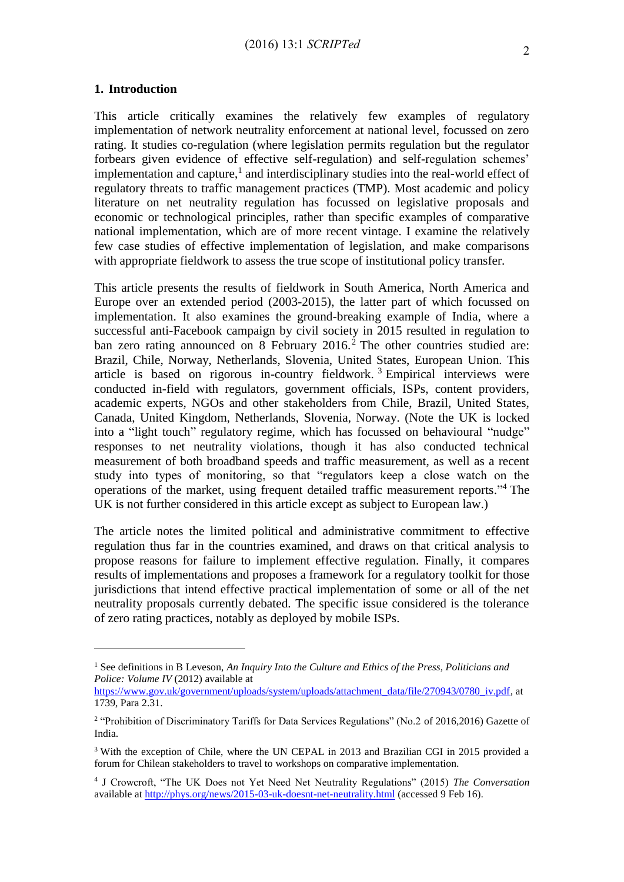#### **1. Introduction**

1

This article critically examines the relatively few examples of regulatory implementation of network neutrality enforcement at national level, focussed on zero rating. It studies co-regulation (where legislation permits regulation but the regulator forbears given evidence of effective self-regulation) and self-regulation schemes' implementation and capture,<sup>1</sup> and interdisciplinary studies into the real-world effect of regulatory threats to traffic management practices (TMP). Most academic and policy literature on net neutrality regulation has focussed on legislative proposals and economic or technological principles, rather than specific examples of comparative national implementation, which are of more recent vintage. I examine the relatively few case studies of effective implementation of legislation, and make comparisons with appropriate fieldwork to assess the true scope of institutional policy transfer.

This article presents the results of fieldwork in South America, North America and Europe over an extended period (2003-2015), the latter part of which focussed on implementation. It also examines the ground-breaking example of India, where a successful anti-Facebook campaign by civil society in 2015 resulted in regulation to ban zero rating announced on 8 February  $2016<sup>2</sup>$  The other countries studied are: Brazil, Chile, Norway, Netherlands, Slovenia, United States, European Union. This article is based on rigorous in-country fieldwork. <sup>3</sup> Empirical interviews were conducted in-field with regulators, government officials, ISPs, content providers, academic experts, NGOs and other stakeholders from Chile, Brazil, United States, Canada, United Kingdom, Netherlands, Slovenia, Norway. (Note the UK is locked into a "light touch" regulatory regime, which has focussed on behavioural "nudge" responses to net neutrality violations, though it has also conducted technical measurement of both broadband speeds and traffic measurement, as well as a recent study into types of monitoring, so that "regulators keep a close watch on the operations of the market, using frequent detailed traffic measurement reports." <sup>4</sup> The UK is not further considered in this article except as subject to European law.)

The article notes the limited political and administrative commitment to effective regulation thus far in the countries examined, and draws on that critical analysis to propose reasons for failure to implement effective regulation. Finally, it compares results of implementations and proposes a framework for a regulatory toolkit for those jurisdictions that intend effective practical implementation of some or all of the net neutrality proposals currently debated. The specific issue considered is the tolerance of zero rating practices, notably as deployed by mobile ISPs.

<sup>1</sup> See definitions in B Leveson, *An Inquiry Into the Culture and Ethics of the Press, Politicians and Police: Volume IV* (2012) available at

[https://www.gov.uk/government/uploads/system/uploads/attachment\\_data/file/270943/0780\\_iv.pdf,](https://www.gov.uk/government/uploads/system/uploads/attachment_data/file/270943/0780_iv.pdf) at 1739, Para 2.31.

<sup>&</sup>lt;sup>2</sup> "Prohibition of Discriminatory Tariffs for Data Services Regulations" (No.2 of 2016,2016) Gazette of India.

<sup>&</sup>lt;sup>3</sup> With the exception of Chile, where the UN CEPAL in 2013 and Brazilian CGI in 2015 provided a forum for Chilean stakeholders to travel to workshops on comparative implementation.

<sup>4</sup> J Crowcroft, "The UK Does not Yet Need Net Neutrality Regulations" (2015) *The Conversation* available at<http://phys.org/news/2015-03-uk-doesnt-net-neutrality.html> (accessed 9 Feb 16).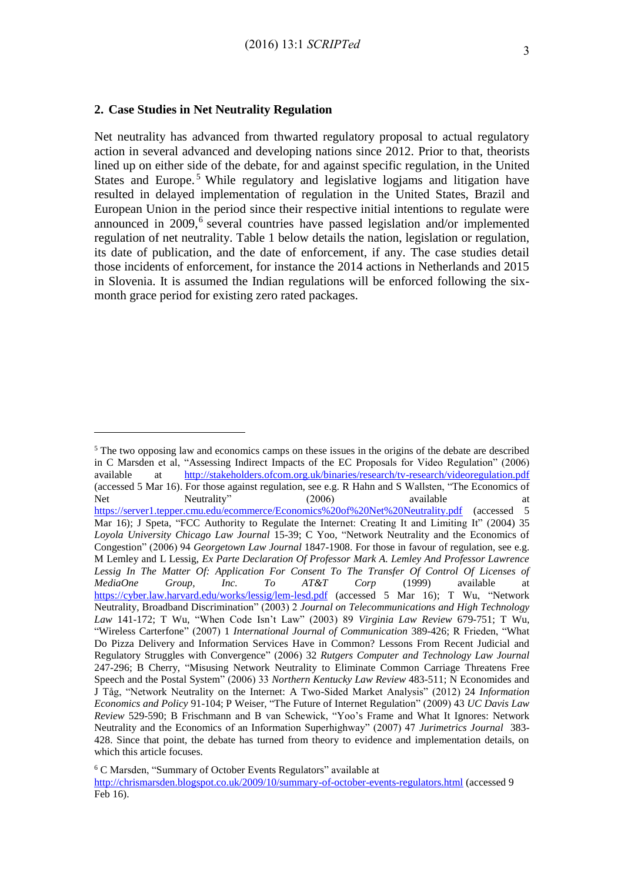#### **2. Case Studies in Net Neutrality Regulation**

1

Net neutrality has advanced from thwarted regulatory proposal to actual regulatory action in several advanced and developing nations since 2012. Prior to that, theorists lined up on either side of the debate, for and against specific regulation, in the United States and Europe.<sup>5</sup> While regulatory and legislative logiams and litigation have resulted in delayed implementation of regulation in the United States, Brazil and European Union in the period since their respective initial intentions to regulate were announced in 2009,<sup>6</sup> several countries have passed legislation and/or implemented regulation of net neutrality. Table 1 below details the nation, legislation or regulation, its date of publication, and the date of enforcement, if any. The case studies detail those incidents of enforcement, for instance the 2014 actions in Netherlands and 2015 in Slovenia. It is assumed the Indian regulations will be enforced following the sixmonth grace period for existing zero rated packages.

<sup>5</sup> The two opposing law and economics camps on these issues in the origins of the debate are described in C Marsden et al, "Assessing Indirect Impacts of the EC Proposals for Video Regulation" (2006) available at <http://stakeholders.ofcom.org.uk/binaries/research/tv-research/videoregulation.pdf> (accessed 5 Mar 16). For those against regulation, see e.g. R Hahn and S Wallsten, "The Economics of Net Neutrality" (2006) available at <https://server1.tepper.cmu.edu/ecommerce/Economics%20of%20Net%20Neutrality.pdf> (accessed 5 Mar 16); J Speta, "FCC Authority to Regulate the Internet: Creating It and Limiting It" (2004) 35 *Loyola University Chicago Law Journal* 15-39; C Yoo, "Network Neutrality and the Economics of Congestion" (2006) 94 *Georgetown Law Journal* 1847-1908. For those in favour of regulation, see e.g. M Lemley and L Lessig, *Ex Parte Declaration Of Professor Mark A. Lemley And Professor Lawrence Lessig In The Matter Of: Application For Consent To The Transfer Of Control Of Licenses of MediaOne Group, Inc. To AT&T Corp* (1999) available at <https://cyber.law.harvard.edu/works/lessig/lem-lesd.pdf> (accessed 5 Mar 16); T Wu, "Network Neutrality, Broadband Discrimination" (2003) 2 *Journal on Telecommunications and High Technology Law* 141-172; T Wu, "When Code Isn't Law" (2003) 89 *Virginia Law Review* 679-751; T Wu, "Wireless Carterfone" (2007) 1 *International Journal of Communication* 389-426; R Frieden, "What Do Pizza Delivery and Information Services Have in Common? Lessons From Recent Judicial and Regulatory Struggles with Convergence" (2006) 32 *Rutgers Computer and Technology Law Journal* 247-296; B Cherry, "Misusing Network Neutrality to Eliminate Common Carriage Threatens Free Speech and the Postal System" (2006) 33 *Northern Kentucky Law Review* 483-511; N Economides and J Tåg, "Network Neutrality on the Internet: A Two-Sided Market Analysis" (2012) 24 *Information Economics and Policy* 91-104; P Weiser, "The Future of Internet Regulation" (2009) 43 *UC Davis Law Review* 529-590; B Frischmann and B van Schewick, "Yoo's Frame and What It Ignores: Network Neutrality and the Economics of an Information Superhighway" (2007) 47 *Jurimetrics Journal* 383- 428. Since that point, the debate has turned from theory to evidence and implementation details, on which this article focuses.

<sup>6</sup> C Marsden, "Summary of October Events Regulators" available at

<http://chrismarsden.blogspot.co.uk/2009/10/summary-of-october-events-regulators.html> (accessed 9 Feb 16).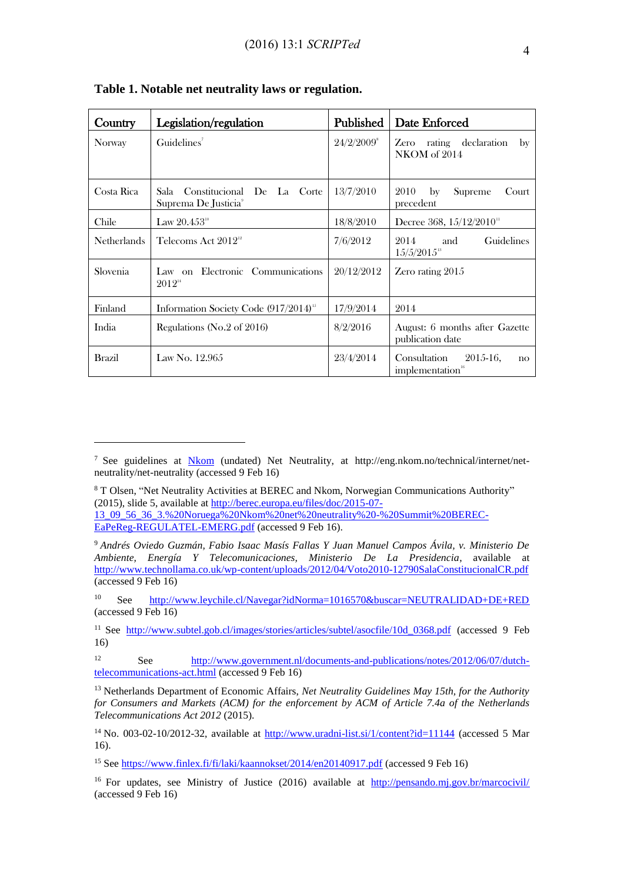| Country            | Legislation/regulation                                                 | Published           | Date Enforced                                                            |
|--------------------|------------------------------------------------------------------------|---------------------|--------------------------------------------------------------------------|
| Norway             | Guidelines <sup>7</sup>                                                | $24/2/2009^{\circ}$ | Zero rating declaration<br>by<br><b>NKOM</b> of 2014                     |
| Costa Rica         | Constitucional De La Corte<br>Sala<br>Suprema De Justicia <sup>9</sup> | 13/7/2010           | 2010<br>$\mathbf{b}$<br>Supreme<br>Court<br>precedent                    |
| Chile              | Law $20.453^{10}$                                                      | 18/8/2010           | Decree 368, $15/12/2010$ <sup>n</sup>                                    |
| <b>Netherlands</b> | Telecoms Act $2012^{12}$                                               | 7/6/2012            | Guidelines<br>2014<br>and<br>$15/5/2015$ <sup>13</sup>                   |
| Slovenia           | Electronic Communications<br>$Law$ on<br>$2012^{14}$                   | 20/12/2012          | Zero rating $2015$                                                       |
| Finland            | Information Society Code $(917/2014)$ <sup>15</sup>                    | 17/9/2014           | 2014                                                                     |
| India              | Regulations (No.2 of 2016)                                             | 8/2/2016            | August: 6 months after Gazette<br>publication date                       |
| Brazil             | Law No. $12.965$                                                       | 23/4/2014           | Consultation<br>2015-16.<br>$\mathbf{n}$<br>implementation <sup>16</sup> |

**Table 1. Notable net neutrality laws or regulation.**

<sup>&</sup>lt;sup>7</sup> See guidelines at **<Nkom>** (undated) Net Neutrality, at http://eng.nkom.no/technical/internet/netneutrality/net-neutrality (accessed 9 Feb 16)

<sup>8</sup> T Olsen, "Net Neutrality Activities at BEREC and Nkom, Norwegian Communications Authority" (2015), slide 5, available at [http://berec.europa.eu/files/doc/2015-07-](http://berec.europa.eu/files/doc/2015-07-13_09_56_36_3.%20Noruega%20Nkom%20net%20neutrality%20-%20Summit%20BEREC-EaPeReg-REGULATEL-EMERG.pdf) [13\\_09\\_56\\_36\\_3.%20Noruega%20Nkom%20net%20neutrality%20-%20Summit%20BEREC-](http://berec.europa.eu/files/doc/2015-07-13_09_56_36_3.%20Noruega%20Nkom%20net%20neutrality%20-%20Summit%20BEREC-EaPeReg-REGULATEL-EMERG.pdf)[EaPeReg-REGULATEL-EMERG.pdf](http://berec.europa.eu/files/doc/2015-07-13_09_56_36_3.%20Noruega%20Nkom%20net%20neutrality%20-%20Summit%20BEREC-EaPeReg-REGULATEL-EMERG.pdf) (accessed 9 Feb 16).

<sup>9</sup> *Andrés Oviedo Guzmán, Fabio Isaac Masís Fallas Y Juan Manuel Campos Ávila, v. Ministerio De Ambiente, Energía Y Telecomunicaciones, Ministerio De La Presidencia*, available at <http://www.technollama.co.uk/wp-content/uploads/2012/04/Voto2010-12790SalaConstitucionalCR.pdf> (accessed 9 Feb  $16$ )

<sup>10</sup> See <http://www.leychile.cl/Navegar?idNorma=1016570&buscar=NEUTRALIDAD+DE+RED> (accessed 9 Feb 16)

<sup>&</sup>lt;sup>11</sup> See [http://www.subtel.gob.cl/images/stories/articles/subtel/asocfile/10d\\_0368.pdf](http://www.subtel.gob.cl/images/stories/articles/subtel/asocfile/10d_0368.pdf) (accessed 9 Feb 16)

<sup>12</sup> See [http://www.government.nl/documents-and-publications/notes/2012/06/07/dutch](http://www.government.nl/documents-and-publications/notes/2012/06/07/dutch-telecommunications-act.html)[telecommunications-act.html](http://www.government.nl/documents-and-publications/notes/2012/06/07/dutch-telecommunications-act.html) (accessed 9 Feb 16)

<sup>13</sup> Netherlands Department of Economic Affairs, *Net Neutrality Guidelines May 15th, for the Authority for Consumers and Markets (ACM) for the enforcement by ACM of Article 7.4a of the Netherlands Telecommunications Act 2012* (2015).

<sup>14</sup> No. 003-02-10/2012-32, available at<http://www.uradni-list.si/1/content?id=11144> (accessed 5 Mar 16).

<sup>15</sup> See<https://www.finlex.fi/fi/laki/kaannokset/2014/en20140917.pdf> (accessed 9 Feb 16)

<sup>&</sup>lt;sup>16</sup> For updates, see Ministry of Justice (2016) available at <http://pensando.mj.gov.br/marcocivil/> (accessed 9 Feb 16)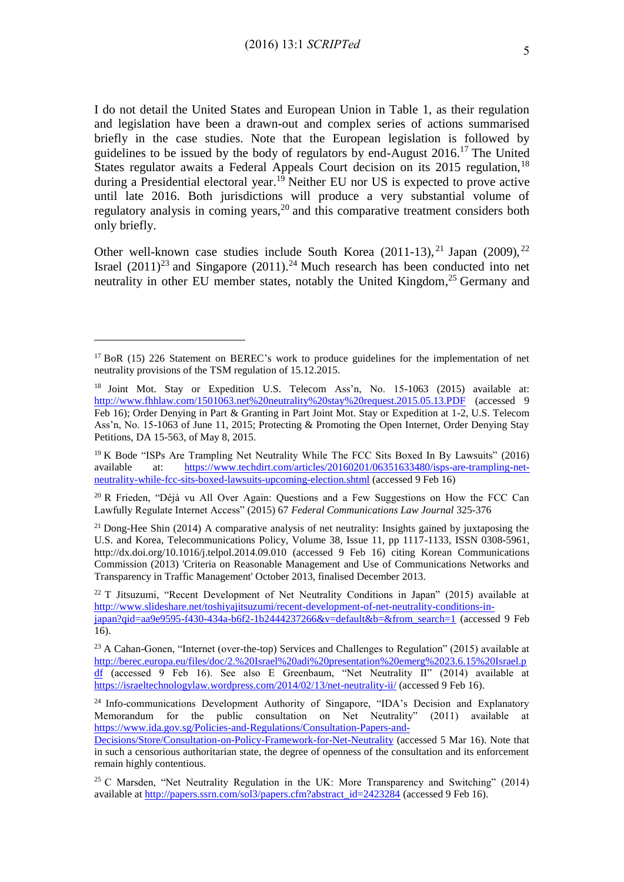I do not detail the United States and European Union in Table 1, as their regulation and legislation have been a drawn-out and complex series of actions summarised briefly in the case studies. Note that the European legislation is followed by guidelines to be issued by the body of regulators by end-August 2016. <sup>17</sup> The United States regulator awaits a Federal Appeals Court decision on its 2015 regulation, <sup>18</sup> during a Presidential electoral year.<sup>19</sup> Neither EU nor US is expected to prove active until late 2016. Both jurisdictions will produce a very substantial volume of regulatory analysis in coming years,<sup>20</sup> and this comparative treatment considers both only briefly.

Other well-known case studies include South Korea  $(2011-13)$ ,  $^{21}$  Japan  $(2009)$ ,  $^{22}$ Israel  $(2011)^{23}$  and Singapore  $(2011)^{24}$  Much research has been conducted into net neutrality in other EU member states, notably the United Kingdom,<sup>25</sup> Germany and

 $17$  BoR (15) 226 Statement on BEREC's work to produce guidelines for the implementation of net neutrality provisions of the TSM regulation of 15.12.2015.

<sup>&</sup>lt;sup>18</sup> Joint Mot. Stay or Expedition U.S. Telecom Ass'n, No. 15-1063 (2015) available at: <http://www.fhhlaw.com/1501063.net%20neutrality%20stay%20request.2015.05.13.PDF> (accessed 9 Feb 16); Order Denying in Part & Granting in Part Joint Mot. Stay or Expedition at 1-2, U.S. Telecom Ass'n, No. 15-1063 of June 11, 2015; Protecting & Promoting the Open Internet, Order Denying Stay Petitions, DA 15-563, of May 8, 2015.

<sup>19</sup> K Bode "ISPs Are Trampling Net Neutrality While The FCC Sits Boxed In By Lawsuits" (2016) available at: [https://www.techdirt.com/articles/20160201/06351633480/isps-are-trampling-net](https://www.techdirt.com/articles/20160201/06351633480/isps-are-trampling-net-neutrality-while-fcc-sits-boxed-lawsuits-upcoming-election.shtml)[neutrality-while-fcc-sits-boxed-lawsuits-upcoming-election.shtml](https://www.techdirt.com/articles/20160201/06351633480/isps-are-trampling-net-neutrality-while-fcc-sits-boxed-lawsuits-upcoming-election.shtml) (accessed 9 Feb 16)

 $20$  R Frieden, "Déjà vu All Over Again: Questions and a Few Suggestions on How the FCC Can Lawfully Regulate Internet Access" (2015) 67 *Federal Communications Law Journal* 325-376

 $21$  Dong-Hee Shin (2014) A comparative analysis of net neutrality: Insights gained by juxtaposing the U.S. and Korea, Telecommunications Policy, Volume 38, Issue 11, pp 1117-1133, ISSN 0308-5961, http://dx.doi.org/10.1016/j.telpol.2014.09.010 (accessed 9 Feb 16) citing Korean Communications Commission (2013) 'Criteria on Reasonable Management and Use of Communications Networks and Transparency in Traffic Management' October 2013, finalised December 2013.

<sup>&</sup>lt;sup>22</sup> T Jitsuzumi, "Recent Development of Net Neutrality Conditions in Japan" (2015) available at [http://www.slideshare.net/toshiyajitsuzumi/recent-development-of-net-neutrality-conditions-in](http://www.slideshare.net/toshiyajitsuzumi/recent-development-of-net-neutrality-conditions-in-japan?qid=aa9e9595-f430-434a-b6f2-1b2444237266&v=default&b=&from_search=1)[japan?qid=aa9e9595-f430-434a-b6f2-1b2444237266&v=default&b=&from\\_search=1](http://www.slideshare.net/toshiyajitsuzumi/recent-development-of-net-neutrality-conditions-in-japan?qid=aa9e9595-f430-434a-b6f2-1b2444237266&v=default&b=&from_search=1) (accessed 9 Feb 16).

<sup>&</sup>lt;sup>23</sup> A Cahan-Gonen, "Internet (over-the-top) Services and Challenges to Regulation" (2015) available at [http://berec.europa.eu/files/doc/2.%20Israel%20adi%20presentation%20emerg%2023.6.15%20Israel.p](http://berec.europa.eu/files/doc/2.%20Israel%20adi%20presentation%20emerg%2023.6.15%20Israel.pdf) [df](http://berec.europa.eu/files/doc/2.%20Israel%20adi%20presentation%20emerg%2023.6.15%20Israel.pdf) (accessed 9 Feb 16). See also E Greenbaum, "Net Neutrality II" (2014) available at <https://israeltechnologylaw.wordpress.com/2014/02/13/net-neutrality-ii/> (accessed 9 Feb 16).

<sup>&</sup>lt;sup>24</sup> Info-communications Development Authority of Singapore, "IDA's Decision and Explanatory Memorandum for the public consultation on Net Neutrality" (2011) available at [https://www.ida.gov.sg/Policies-and-Regulations/Consultation-Papers-and-](https://www.ida.gov.sg/Policies-and-Regulations/Consultation-Papers-and-Decisions/Store/Consultation-on-Policy-Framework-for-Net-Neutrality)

[Decisions/Store/Consultation-on-Policy-Framework-for-Net-Neutrality](https://www.ida.gov.sg/Policies-and-Regulations/Consultation-Papers-and-Decisions/Store/Consultation-on-Policy-Framework-for-Net-Neutrality) (accessed 5 Mar 16). Note that in such a censorious authoritarian state, the degree of openness of the consultation and its enforcement remain highly contentious.

<sup>&</sup>lt;sup>25</sup> C Marsden, "Net Neutrality Regulation in the UK: More Transparency and Switching" (2014) available at [http://papers.ssrn.com/sol3/papers.cfm?abstract\\_id=2423284](http://papers.ssrn.com/sol3/papers.cfm?abstract_id=2423284) (accessed 9 Feb 16).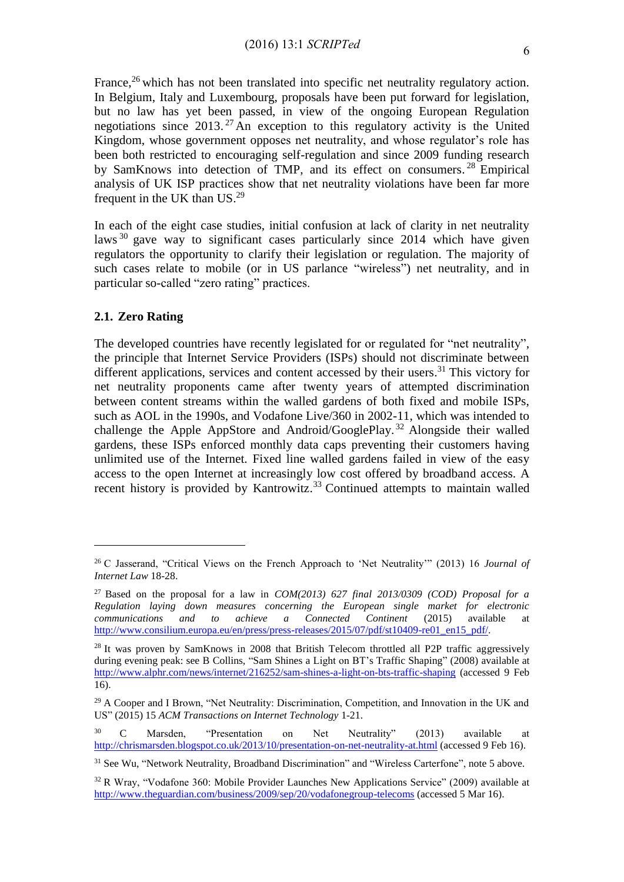France,<sup>26</sup> which has not been translated into specific net neutrality regulatory action. In Belgium, Italy and Luxembourg, proposals have been put forward for legislation, but no law has yet been passed, in view of the ongoing European Regulation negotiations since  $2013$ .<sup>27</sup> An exception to this regulatory activity is the United Kingdom, whose government opposes net neutrality, and whose regulator's role has been both restricted to encouraging self-regulation and since 2009 funding research by SamKnows into detection of TMP, and its effect on consumers.<sup>28</sup> Empirical analysis of UK ISP practices show that net neutrality violations have been far more frequent in the UK than US.<sup>29</sup>

In each of the eight case studies, initial confusion at lack of clarity in net neutrality laws <sup>30</sup> gave way to significant cases particularly since 2014 which have given regulators the opportunity to clarify their legislation or regulation. The majority of such cases relate to mobile (or in US parlance "wireless") net neutrality, and in particular so-called "zero rating" practices.

#### **2.1. Zero Rating**

1

The developed countries have recently legislated for or regulated for "net neutrality", the principle that Internet Service Providers (ISPs) should not discriminate between different applications, services and content accessed by their users. <sup>31</sup> This victory for net neutrality proponents came after twenty years of attempted discrimination between content streams within the walled gardens of both fixed and mobile ISPs, such as AOL in the 1990s, and Vodafone Live/360 in 2002-11, which was intended to challenge the Apple AppStore and Android/GooglePlay.<sup>32</sup> Alongside their walled gardens, these ISPs enforced monthly data caps preventing their customers having unlimited use of the Internet. Fixed line walled gardens failed in view of the easy access to the open Internet at increasingly low cost offered by broadband access. A recent history is provided by Kantrowitz.<sup>33</sup> Continued attempts to maintain walled

<sup>26</sup> C Jasserand, "Critical Views on the French Approach to 'Net Neutrality'" (2013) 16 *Journal of Internet Law* 18-28.

<sup>27</sup> Based on the proposal for a law in *COM(2013) 627 final 2013/0309 (COD) Proposal for a Regulation laying down measures concerning the European single market for electronic communications and to achieve a Connected Continent* (2015) available at [http://www.consilium.europa.eu/en/press/press-releases/2015/07/pdf/st10409-re01\\_en15\\_pdf/.](http://www.consilium.europa.eu/en/press/press-releases/2015/07/pdf/st10409-re01_en15_pdf/)

<sup>&</sup>lt;sup>28</sup> It was proven by SamKnows in 2008 that British Telecom throttled all P2P traffic aggressively during evening peak: see B Collins, "Sam Shines a Light on BT's Traffic Shaping" (2008) available at <http://www.alphr.com/news/internet/216252/sam-shines-a-light-on-bts-traffic-shaping> (accessed 9 Feb 16).

<sup>&</sup>lt;sup>29</sup> A Cooper and I Brown, "Net Neutrality: Discrimination, Competition, and Innovation in the UK and US" (2015) 15 *ACM Transactions on Internet Technology* 1-21.

<sup>30</sup> C Marsden, "Presentation on Net Neutrality" (2013) available at <http://chrismarsden.blogspot.co.uk/2013/10/presentation-on-net-neutrality-at.html> (accessed 9 Feb 16).

<sup>&</sup>lt;sup>31</sup> See Wu, "Network Neutrality, Broadband Discrimination" and "Wireless Carterfone", note 5 above.

<sup>&</sup>lt;sup>32</sup> R Wray, "Vodafone 360: Mobile Provider Launches New Applications Service" (2009) available at <http://www.theguardian.com/business/2009/sep/20/vodafonegroup-telecoms> (accessed 5 Mar 16).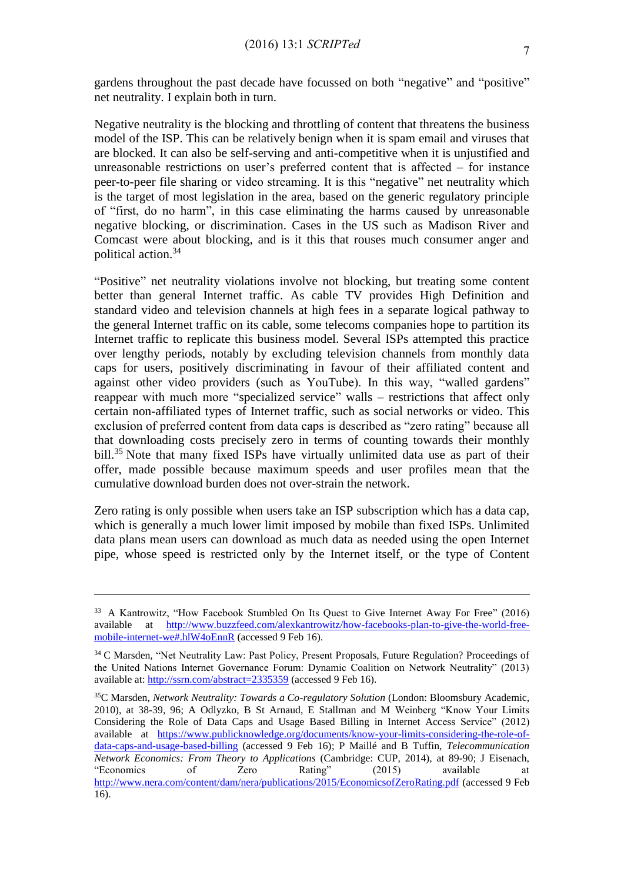gardens throughout the past decade have focussed on both "negative" and "positive" net neutrality. I explain both in turn.

Negative neutrality is the blocking and throttling of content that threatens the business model of the ISP. This can be relatively benign when it is spam email and viruses that are blocked. It can also be self-serving and anti-competitive when it is unjustified and unreasonable restrictions on user's preferred content that is affected – for instance peer-to-peer file sharing or video streaming. It is this "negative" net neutrality which is the target of most legislation in the area, based on the generic regulatory principle of "first, do no harm", in this case eliminating the harms caused by unreasonable negative blocking, or discrimination. Cases in the US such as Madison River and Comcast were about blocking, and is it this that rouses much consumer anger and political action. 34

"Positive" net neutrality violations involve not blocking, but treating some content better than general Internet traffic. As cable TV provides High Definition and standard video and television channels at high fees in a separate logical pathway to the general Internet traffic on its cable, some telecoms companies hope to partition its Internet traffic to replicate this business model. Several ISPs attempted this practice over lengthy periods, notably by excluding television channels from monthly data caps for users, positively discriminating in favour of their affiliated content and against other video providers (such as YouTube). In this way, "walled gardens" reappear with much more "specialized service" walls – restrictions that affect only certain non-affiliated types of Internet traffic, such as social networks or video. This exclusion of preferred content from data caps is described as "zero rating" because all that downloading costs precisely zero in terms of counting towards their monthly bill.<sup>35</sup> Note that many fixed ISPs have virtually unlimited data use as part of their offer, made possible because maximum speeds and user profiles mean that the cumulative download burden does not over-strain the network.

Zero rating is only possible when users take an ISP subscription which has a data cap, which is generally a much lower limit imposed by mobile than fixed ISPs. Unlimited data plans mean users can download as much data as needed using the open Internet pipe, whose speed is restricted only by the Internet itself, or the type of Content

<sup>&</sup>lt;sup>33</sup> A Kantrowitz, "How Facebook Stumbled On Its Quest to Give Internet Away For Free" (2016) available at [http://www.buzzfeed.com/alexkantrowitz/how-facebooks-plan-to-give-the-world-free](http://www.buzzfeed.com/alexkantrowitz/how-facebooks-plan-to-give-the-world-free-mobile-internet-we#.hlW4oEnnR)[mobile-internet-we#.hlW4oEnnR](http://www.buzzfeed.com/alexkantrowitz/how-facebooks-plan-to-give-the-world-free-mobile-internet-we#.hlW4oEnnR) (accessed 9 Feb 16).

<sup>&</sup>lt;sup>34</sup> C Marsden, "Net Neutrality Law: Past Policy, Present Proposals, Future Regulation? Proceedings of the United Nations Internet Governance Forum: Dynamic Coalition on Network Neutrality" (2013) available at:<http://ssrn.com/abstract=2335359> (accessed 9 Feb 16).

<sup>35</sup>C Marsden, *Network Neutrality: Towards a Co-regulatory Solution* (London: Bloomsbury Academic, 2010), at 38-39, 96; A Odlyzko, B St Arnaud, E Stallman and M Weinberg "Know Your Limits Considering the Role of Data Caps and Usage Based Billing in Internet Access Service" (2012) available at [https://www.publicknowledge.org/documents/know-your-limits-considering-the-role-of](https://www.publicknowledge.org/documents/know-your-limits-considering-the-role-of-data-caps-and-usage-based-billing)[data-caps-and-usage-based-billing](https://www.publicknowledge.org/documents/know-your-limits-considering-the-role-of-data-caps-and-usage-based-billing) (accessed 9 Feb 16); P Maillé and B Tuffin, *Telecommunication Network Economics: From Theory to Applications* (Cambridge: CUP, 2014), at 89-90; J Eisenach, "Economics of Zero Rating" (2015) available at <http://www.nera.com/content/dam/nera/publications/2015/EconomicsofZeroRating.pdf> (accessed 9 Feb 16).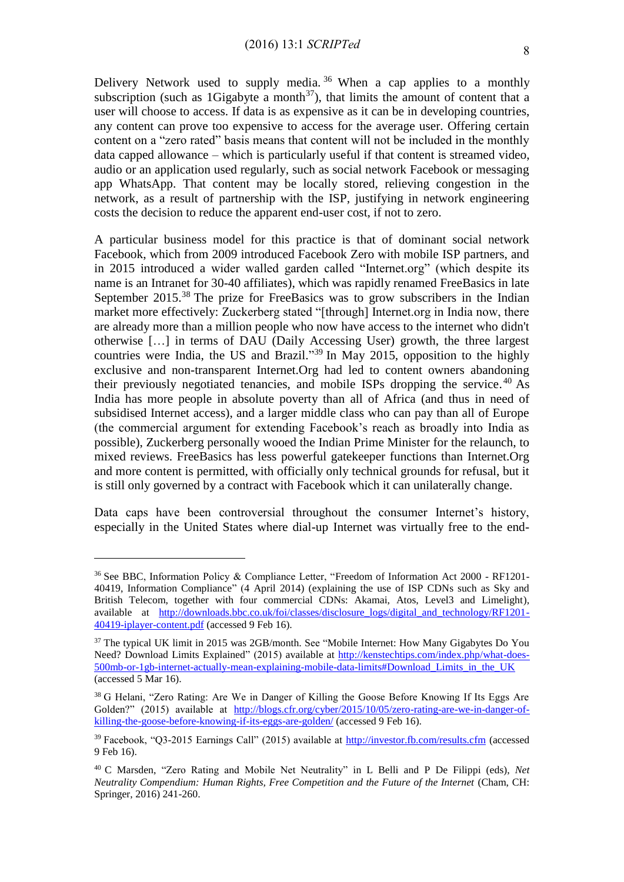Delivery Network used to supply media. <sup>36</sup> When a cap applies to a monthly subscription (such as  $1$ Gigabyte a month<sup>37</sup>), that limits the amount of content that a user will choose to access. If data is as expensive as it can be in developing countries, any content can prove too expensive to access for the average user. Offering certain content on a "zero rated" basis means that content will not be included in the monthly data capped allowance – which is particularly useful if that content is streamed video, audio or an application used regularly, such as social network Facebook or messaging app WhatsApp. That content may be locally stored, relieving congestion in the network, as a result of partnership with the ISP, justifying in network engineering costs the decision to reduce the apparent end-user cost, if not to zero.

A particular business model for this practice is that of dominant social network Facebook, which from 2009 introduced Facebook Zero with mobile ISP partners, and in 2015 introduced a wider walled garden called "Internet.org" (which despite its name is an Intranet for 30-40 affiliates), which was rapidly renamed FreeBasics in late September 2015.<sup>38</sup> The prize for FreeBasics was to grow subscribers in the Indian market more effectively: Zuckerberg stated "[through] Internet.org in India now, there are already more than a million people who now have access to the internet who didn't otherwise […] in terms of DAU (Daily Accessing User) growth, the three largest countries were India, the US and Brazil." <sup>39</sup> In May 2015, opposition to the highly exclusive and non-transparent Internet.Org had led to content owners abandoning their previously negotiated tenancies, and mobile ISPs dropping the service. <sup>40</sup> As India has more people in absolute poverty than all of Africa (and thus in need of subsidised Internet access), and a larger middle class who can pay than all of Europe (the commercial argument for extending Facebook's reach as broadly into India as possible), Zuckerberg personally wooed the Indian Prime Minister for the relaunch, to mixed reviews. FreeBasics has less powerful gatekeeper functions than Internet.Org and more content is permitted, with officially only technical grounds for refusal, but it is still only governed by a contract with Facebook which it can unilaterally change.

Data caps have been controversial throughout the consumer Internet's history, especially in the United States where dial-up Internet was virtually free to the end-

1

<sup>&</sup>lt;sup>36</sup> See BBC, Information Policy & Compliance Letter, "Freedom of Information Act 2000 - RF1201-40419, Information Compliance" (4 April 2014) (explaining the use of ISP CDNs such as Sky and British Telecom, together with four commercial CDNs: Akamai, Atos, Level3 and Limelight), available at [http://downloads.bbc.co.uk/foi/classes/disclosure\\_logs/digital\\_and\\_technology/RF1201-](http://downloads.bbc.co.uk/foi/classes/disclosure_logs/digital_and_technology/RF1201-40419-iplayer-content.pdf) [40419-iplayer-content.pdf](http://downloads.bbc.co.uk/foi/classes/disclosure_logs/digital_and_technology/RF1201-40419-iplayer-content.pdf) (accessed 9 Feb 16).

<sup>&</sup>lt;sup>37</sup> The typical UK limit in 2015 was 2GB/month. See "Mobile Internet: How Many Gigabytes Do You Need? Download Limits Explained" (2015) available at [http://kenstechtips.com/index.php/what-does-](http://kenstechtips.com/index.php/what-does-500mb-or-1gb-internet-actually-mean-explaining-mobile-data-limits#Download_Limits_in_the_UK)[500mb-or-1gb-internet-actually-mean-explaining-mobile-data-limits#Download\\_Limits\\_in\\_the\\_UK](http://kenstechtips.com/index.php/what-does-500mb-or-1gb-internet-actually-mean-explaining-mobile-data-limits#Download_Limits_in_the_UK) (accessed 5 Mar 16).

<sup>38</sup> G Helani, "Zero Rating: Are We in Danger of Killing the Goose Before Knowing If Its Eggs Are Golden?" (2015) available at [http://blogs.cfr.org/cyber/2015/10/05/zero-rating-are-we-in-danger-of](http://blogs.cfr.org/cyber/2015/10/05/zero-rating-are-we-in-danger-of-killing-the-goose-before-knowing-if-its-eggs-are-golden/)[killing-the-goose-before-knowing-if-its-eggs-are-golden/](http://blogs.cfr.org/cyber/2015/10/05/zero-rating-are-we-in-danger-of-killing-the-goose-before-knowing-if-its-eggs-are-golden/) (accessed 9 Feb 16).

<sup>39</sup> Facebook, "Q3-2015 Earnings Call" (2015) available at<http://investor.fb.com/results.cfm> (accessed 9 Feb 16).

<sup>40</sup> C Marsden, "Zero Rating and Mobile Net Neutrality" in L Belli and P De Filippi (eds), *Net Neutrality Compendium: Human Rights, Free Competition and the Future of the Internet* (Cham, CH: Springer, 2016) 241-260.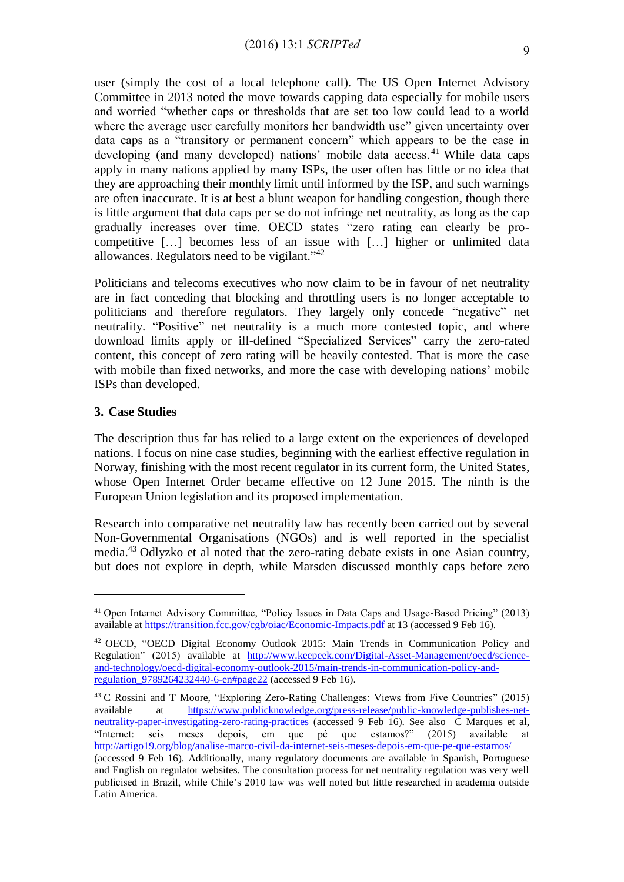user (simply the cost of a local telephone call). The US Open Internet Advisory Committee in 2013 noted the move towards capping data especially for mobile users and worried "whether caps or thresholds that are set too low could lead to a world where the average user carefully monitors her bandwidth use" given uncertainty over data caps as a "transitory or permanent concern" which appears to be the case in developing (and many developed) nations' mobile data access. <sup>41</sup> While data caps apply in many nations applied by many ISPs, the user often has little or no idea that they are approaching their monthly limit until informed by the ISP, and such warnings are often inaccurate. It is at best a blunt weapon for handling congestion, though there is little argument that data caps per se do not infringe net neutrality, as long as the cap gradually increases over time. OECD states "zero rating can clearly be procompetitive […] becomes less of an issue with […] higher or unlimited data allowances. Regulators need to be vigilant." 42

Politicians and telecoms executives who now claim to be in favour of net neutrality are in fact conceding that blocking and throttling users is no longer acceptable to politicians and therefore regulators. They largely only concede "negative" net neutrality. "Positive" net neutrality is a much more contested topic, and where download limits apply or ill-defined "Specialized Services" carry the zero-rated content, this concept of zero rating will be heavily contested. That is more the case with mobile than fixed networks, and more the case with developing nations' mobile ISPs than developed.

#### **3. Case Studies**

<u>.</u>

The description thus far has relied to a large extent on the experiences of developed nations. I focus on nine case studies, beginning with the earliest effective regulation in Norway, finishing with the most recent regulator in its current form, the United States, whose Open Internet Order became effective on 12 June 2015. The ninth is the European Union legislation and its proposed implementation.

Research into comparative net neutrality law has recently been carried out by several Non-Governmental Organisations (NGOs) and is well reported in the specialist media. <sup>43</sup> Odlyzko et al noted that the zero-rating debate exists in one Asian country, but does not explore in depth, while Marsden discussed monthly caps before zero

<sup>41</sup> Open Internet Advisory Committee, "Policy Issues in Data Caps and Usage-Based Pricing" (2013) available at<https://transition.fcc.gov/cgb/oiac/Economic-Impacts.pdf> at 13 (accessed 9 Feb 16).

<sup>42</sup> OECD, "OECD Digital Economy Outlook 2015: Main Trends in Communication Policy and Regulation" (2015) available at [http://www.keepeek.com/Digital-Asset-Management/oecd/science](http://www.keepeek.com/Digital-Asset-Management/oecd/science-and-technology/oecd-digital-economy-outlook-2015/main-trends-in-communication-policy-and-regulation_9789264232440-6-en#page22)[and-technology/oecd-digital-economy-outlook-2015/main-trends-in-communication-policy-and](http://www.keepeek.com/Digital-Asset-Management/oecd/science-and-technology/oecd-digital-economy-outlook-2015/main-trends-in-communication-policy-and-regulation_9789264232440-6-en#page22)[regulation\\_9789264232440-6-en#page22](http://www.keepeek.com/Digital-Asset-Management/oecd/science-and-technology/oecd-digital-economy-outlook-2015/main-trends-in-communication-policy-and-regulation_9789264232440-6-en#page22) (accessed 9 Feb 16).

<sup>43</sup> C Rossini and T Moore, "Exploring Zero-Rating Challenges: Views from Five Countries" (2015) available at [https://www.publicknowledge.org/press-release/public-knowledge-publishes-net](https://www.publicknowledge.org/press-release/public-knowledge-publishes-net-neutrality-paper-investigating-zero-rating-practices)[neutrality-paper-investigating-zero-rating-practices](https://www.publicknowledge.org/press-release/public-knowledge-publishes-net-neutrality-paper-investigating-zero-rating-practices) (accessed 9 Feb 16). See also C Marques et al, "Internet: seis meses depois, em que pé que estamos?" (2015) available at <http://artigo19.org/blog/analise-marco-civil-da-internet-seis-meses-depois-em-que-pe-que-estamos/> (accessed 9 Feb 16). Additionally, many regulatory documents are available in Spanish, Portuguese and English on regulator websites. The consultation process for net neutrality regulation was very well publicised in Brazil, while Chile's 2010 law was well noted but little researched in academia outside Latin America.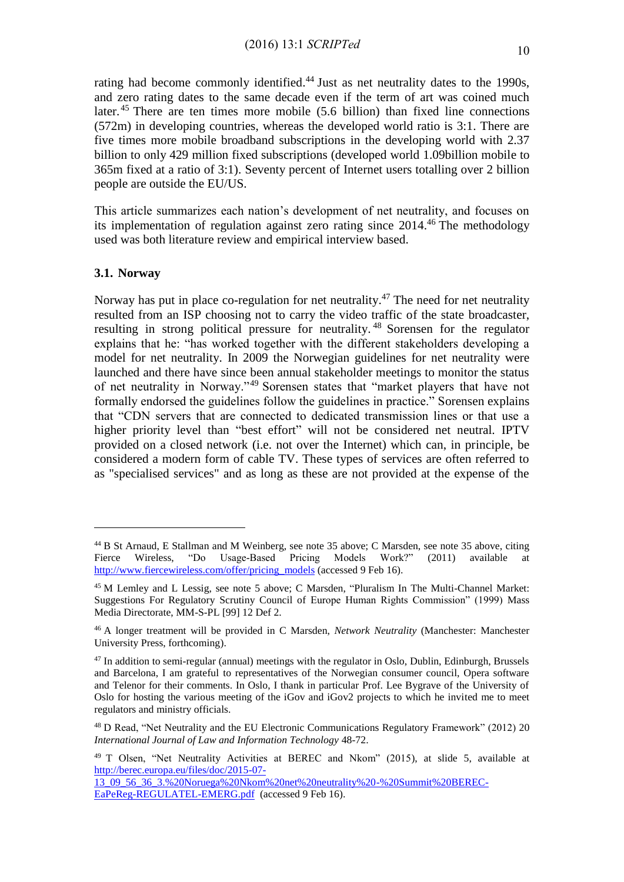rating had become commonly identified.<sup>44</sup> Just as net neutrality dates to the 1990s, and zero rating dates to the same decade even if the term of art was coined much later. <sup>45</sup> There are ten times more mobile (5.6 billion) than fixed line connections (572m) in developing countries, whereas the developed world ratio is 3:1. There are five times more mobile broadband subscriptions in the developing world with 2.37 billion to only 429 million fixed subscriptions (developed world 1.09billion mobile to 365m fixed at a ratio of 3:1). Seventy percent of Internet users totalling over 2 billion people are outside the EU/US.

This article summarizes each nation's development of net neutrality, and focuses on its implementation of regulation against zero rating since 2014. <sup>46</sup> The methodology used was both literature review and empirical interview based.

#### **3.1. Norway**

1

Norway has put in place co-regulation for net neutrality.<sup>47</sup> The need for net neutrality resulted from an ISP choosing not to carry the video traffic of the state broadcaster, resulting in strong political pressure for neutrality.<sup>48</sup> Sorensen for the regulator explains that he: "has worked together with the different stakeholders developing a model for net neutrality. In 2009 the Norwegian guidelines for net neutrality were launched and there have since been annual stakeholder meetings to monitor the status of net neutrality in Norway."<sup>49</sup> Sorensen states that "market players that have not formally endorsed the guidelines follow the guidelines in practice." Sorensen explains that "CDN servers that are connected to dedicated transmission lines or that use a higher priority level than "best effort" will not be considered net neutral. IPTV provided on a closed network (i.e. not over the Internet) which can, in principle, be considered a modern form of cable TV. These types of services are often referred to as "specialised services" and as long as these are not provided at the expense of the

<sup>44</sup> B St Arnaud, E Stallman and M Weinberg, see note 35 above; C Marsden, see note 35 above, citing Fierce Wireless, "Do Usage-Based Pricing Models Work?" (2011) available at [http://www.fiercewireless.com/offer/pricing\\_models](http://www.fiercewireless.com/offer/pricing_models) (accessed 9 Feb 16).

<sup>45</sup> M Lemley and L Lessig, see note 5 above; C Marsden, "Pluralism In The Multi-Channel Market: Suggestions For Regulatory Scrutiny Council of Europe Human Rights Commission" (1999) Mass Media Directorate, MM-S-PL [99] 12 Def 2.

<sup>46</sup> A longer treatment will be provided in C Marsden, *Network Neutrality* (Manchester: Manchester University Press, forthcoming).

 $47$  In addition to semi-regular (annual) meetings with the regulator in Oslo, Dublin, Edinburgh, Brussels and Barcelona, I am grateful to representatives of the Norwegian consumer council, Opera software and Telenor for their comments. In Oslo, I thank in particular Prof. Lee Bygrave of the University of Oslo for hosting the various meeting of the iGov and iGov2 projects to which he invited me to meet regulators and ministry officials.

<sup>&</sup>lt;sup>48</sup> D Read, "Net Neutrality and the EU Electronic Communications Regulatory Framework" (2012) 20 *International Journal of Law and Information Technology* 48-72.

<sup>49</sup> T Olsen, "Net Neutrality Activities at BEREC and Nkom" (2015), at slide 5, available at [http://berec.europa.eu/files/doc/2015-07-](http://berec.europa.eu/files/doc/2015-07-13_09_56_36_3.%20Noruega%20Nkom%20net%20neutrality%20-%20Summit%20BEREC-EaPeReg-REGULATEL-EMERG.pdf)

[<sup>13</sup>\\_09\\_56\\_36\\_3.%20Noruega%20Nkom%20net%20neutrality%20-%20Summit%20BEREC-](http://berec.europa.eu/files/doc/2015-07-13_09_56_36_3.%20Noruega%20Nkom%20net%20neutrality%20-%20Summit%20BEREC-EaPeReg-REGULATEL-EMERG.pdf)[EaPeReg-REGULATEL-EMERG.pdf](http://berec.europa.eu/files/doc/2015-07-13_09_56_36_3.%20Noruega%20Nkom%20net%20neutrality%20-%20Summit%20BEREC-EaPeReg-REGULATEL-EMERG.pdf) (accessed 9 Feb 16).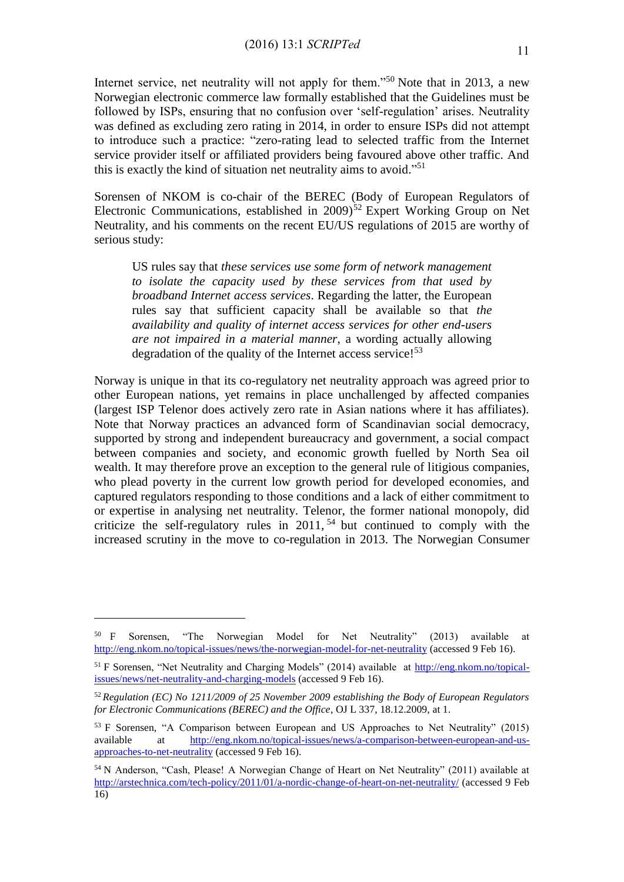Internet service, net neutrality will not apply for them."<sup>50</sup> Note that in 2013, a new Norwegian electronic commerce law formally established that the Guidelines must be followed by ISPs, ensuring that no confusion over 'self-regulation' arises. Neutrality was defined as excluding zero rating in 2014, in order to ensure ISPs did not attempt to introduce such a practice: "zero-rating lead to selected traffic from the Internet service provider itself or affiliated providers being favoured above other traffic. And this is exactly the kind of situation net neutrality aims to avoid."<sup>51</sup>

Sorensen of NKOM is co-chair of the BEREC (Body of European Regulators of Electronic Communications, established in 2009) <sup>52</sup> Expert Working Group on Net Neutrality, and his comments on the recent EU/US regulations of 2015 are worthy of serious study:

US rules say that *these services use some form of network management to isolate the capacity used by these services from that used by broadband Internet access services*. Regarding the latter, the European rules say that sufficient capacity shall be available so that *the availability and quality of internet access services for other end-users are not impaired in a material manner*, a wording actually allowing degradation of the quality of the Internet access service!<sup>53</sup>

Norway is unique in that its co-regulatory net neutrality approach was agreed prior to other European nations, yet remains in place unchallenged by affected companies (largest ISP Telenor does actively zero rate in Asian nations where it has affiliates). Note that Norway practices an advanced form of Scandinavian social democracy, supported by strong and independent bureaucracy and government, a social compact between companies and society, and economic growth fuelled by North Sea oil wealth. It may therefore prove an exception to the general rule of litigious companies, who plead poverty in the current low growth period for developed economies, and captured regulators responding to those conditions and a lack of either commitment to or expertise in analysing net neutrality. Telenor, the former national monopoly, did criticize the self-regulatory rules in  $2011$ ,  $54$  but continued to comply with the increased scrutiny in the move to co-regulation in 2013. The Norwegian Consumer

<sup>50</sup> F Sorensen, "The Norwegian Model for Net Neutrality" (2013) available at <http://eng.nkom.no/topical-issues/news/the-norwegian-model-for-net-neutrality> (accessed 9 Feb 16).

<sup>&</sup>lt;sup>51</sup> F Sorensen, "Net Neutrality and Charging Models" (2014) available at [http://eng.nkom.no/topical](http://eng.nkom.no/topical-issues/news/net-neutrality-and-charging-models)[issues/news/net-neutrality-and-charging-models](http://eng.nkom.no/topical-issues/news/net-neutrality-and-charging-models) (accessed 9 Feb 16).

<sup>52</sup> *Regulation (EC) No 1211/2009 of 25 November 2009 establishing the Body of European Regulators for Electronic Communications (BEREC) and the Office*, OJ L 337, 18.12.2009, at 1.

<sup>53</sup> F Sorensen, "A Comparison between European and US Approaches to Net Neutrality" (2015) available at [http://eng.nkom.no/topical-issues/news/a-comparison-between-european-and-us](http://eng.nkom.no/topical-issues/news/a-comparison-between-european-and-us-approaches-to-net-neutrality)[approaches-to-net-neutrality](http://eng.nkom.no/topical-issues/news/a-comparison-between-european-and-us-approaches-to-net-neutrality) (accessed 9 Feb 16).

<sup>54</sup> N Anderson, "Cash, Please! A Norwegian Change of Heart on Net Neutrality" (2011) available at <http://arstechnica.com/tech-policy/2011/01/a-nordic-change-of-heart-on-net-neutrality/> (accessed 9 Feb 16)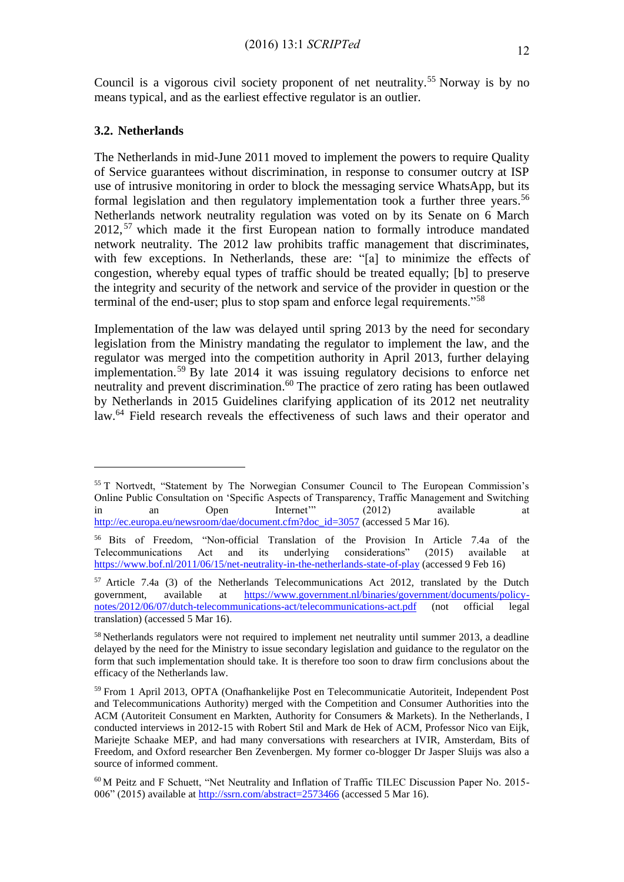Council is a vigorous civil society proponent of net neutrality. <sup>55</sup> Norway is by no means typical, and as the earliest effective regulator is an outlier.

#### **3.2. Netherlands**

<u>.</u>

The Netherlands in mid-June 2011 moved to implement the powers to require Quality of Service guarantees without discrimination, in response to consumer outcry at ISP use of intrusive monitoring in order to block the messaging service WhatsApp, but its formal legislation and then regulatory implementation took a further three years.<sup>56</sup> Netherlands network neutrality regulation was voted on by its Senate on 6 March  $2012$ ,  $57$  which made it the first European nation to formally introduce mandated network neutrality. The 2012 law prohibits traffic management that discriminates, with few exceptions. In Netherlands, these are: "[a] to minimize the effects of congestion, whereby equal types of traffic should be treated equally; [b] to preserve the integrity and security of the network and service of the provider in question or the terminal of the end-user; plus to stop spam and enforce legal requirements."<sup>58</sup>

Implementation of the law was delayed until spring 2013 by the need for secondary legislation from the Ministry mandating the regulator to implement the law, and the regulator was merged into the competition authority in April 2013, further delaying implementation. <sup>59</sup> By late 2014 it was issuing regulatory decisions to enforce net neutrality and prevent discrimination.<sup>60</sup> The practice of zero rating has been outlawed by Netherlands in 2015 Guidelines clarifying application of its 2012 net neutrality law.<sup>64</sup> Field research reveals the effectiveness of such laws and their operator and

<sup>&</sup>lt;sup>55</sup> T Nortvedt, "Statement by The Norwegian Consumer Council to The European Commission's Online Public Consultation on 'Specific Aspects of Transparency, Traffic Management and Switching in an Open Internet'" (2012) available at [http://ec.europa.eu/newsroom/dae/document.cfm?doc\\_id=3057](http://ec.europa.eu/newsroom/dae/document.cfm?doc_id=3057) (accessed 5 Mar 16).

<sup>56</sup> Bits of Freedom, "Non-official Translation of the Provision In Article 7.4a of the Telecommunications Act and its underlying considerations" (2015) available at <https://www.bof.nl/2011/06/15/net-neutrality-in-the-netherlands-state-of-play> (accessed 9 Feb 16)

<sup>57</sup> Article 7.4a (3) of the Netherlands Telecommunications Act 2012, translated by the Dutch government, available at [https://www.government.nl/binaries/government/documents/policy](https://www.government.nl/binaries/government/documents/policy-notes/2012/06/07/dutch-telecommunications-act/telecommunications-act.pdf)[notes/2012/06/07/dutch-telecommunications-act/telecommunications-act.pdf](https://www.government.nl/binaries/government/documents/policy-notes/2012/06/07/dutch-telecommunications-act/telecommunications-act.pdf) (not official legal translation) (accessed 5 Mar 16).

<sup>&</sup>lt;sup>58</sup> Netherlands regulators were not required to implement net neutrality until summer 2013, a deadline delayed by the need for the Ministry to issue secondary legislation and guidance to the regulator on the form that such implementation should take. It is therefore too soon to draw firm conclusions about the efficacy of the Netherlands law.

<sup>59</sup> From 1 April 2013, OPTA (Onafhankelijke Post en Telecommunicatie Autoriteit, Independent Post and Telecommunications Authority) merged with the Competition and Consumer Authorities into the ACM (Autoriteit Consument en Markten, Authority for Consumers & Markets). In the Netherlands, I conducted interviews in 2012-15 with Robert Stil and Mark de Hek of ACM, Professor Nico van Eijk, Mariejte Schaake MEP, and had many conversations with researchers at IVIR, Amsterdam, Bits of Freedom, and Oxford researcher Ben Zevenbergen. My former co-blogger Dr Jasper Sluijs was also a source of informed comment.

<sup>60</sup> M Peitz and F Schuett, "Net Neutrality and Inflation of Traffic TILEC Discussion Paper No. 2015 006" (2015) available at <http://ssrn.com/abstract=2573466> (accessed 5 Mar 16).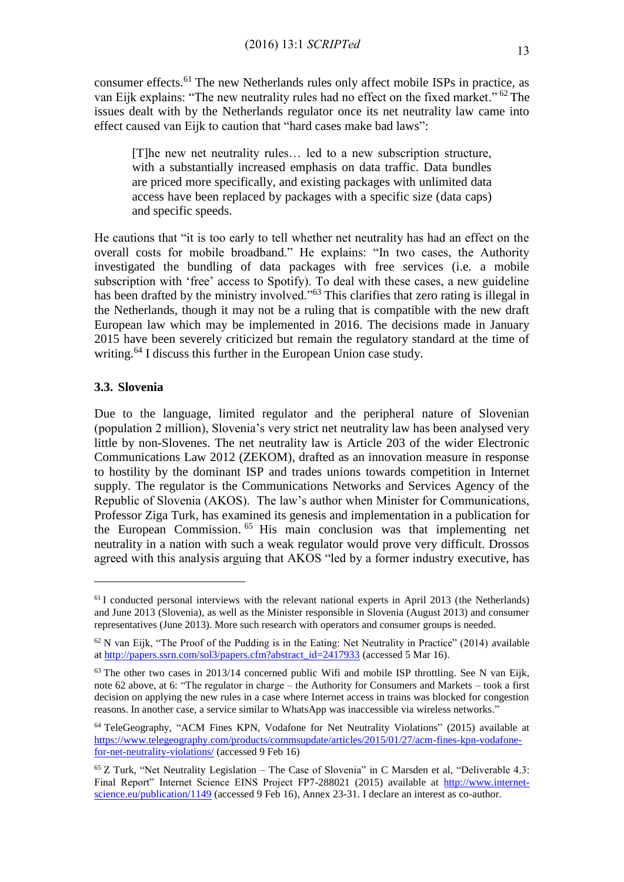consumer effects.<sup>61</sup> The new Netherlands rules only affect mobile ISPs in practice, as van Eijk explains: "The new neutrality rules had no effect on the fixed market." <sup>62</sup> The issues dealt with by the Netherlands regulator once its net neutrality law came into effect caused van Eijk to caution that "hard cases make bad laws":

[T]he new net neutrality rules… led to a new subscription structure, with a substantially increased emphasis on data traffic. Data bundles are priced more specifically, and existing packages with unlimited data access have been replaced by packages with a specific size (data caps) and specific speeds.

He cautions that "it is too early to tell whether net neutrality has had an effect on the overall costs for mobile broadband." He explains: "In two cases, the Authority investigated the bundling of data packages with free services (i.e. a mobile subscription with 'free' access to Spotify). To deal with these cases, a new guideline has been drafted by the ministry involved."<sup>63</sup> This clarifies that zero rating is illegal in the Netherlands, though it may not be a ruling that is compatible with the new draft European law which may be implemented in 2016. The decisions made in January 2015 have been severely criticized but remain the regulatory standard at the time of writing.<sup>64</sup> I discuss this further in the European Union case study.

#### **3.3. Slovenia**

<u>.</u>

Due to the language, limited regulator and the peripheral nature of Slovenian (population 2 million), Slovenia's very strict net neutrality law has been analysed very little by non-Slovenes. The net neutrality law is Article 203 of the wider Electronic Communications Law 2012 (ZEKOM), drafted as an innovation measure in response to hostility by the dominant ISP and trades unions towards competition in Internet supply. The regulator is the Communications Networks and Services Agency of the Republic of Slovenia (AKOS). The law's author when Minister for Communications, Professor Ziga Turk, has examined its genesis and implementation in a publication for the European Commission. <sup>65</sup> His main conclusion was that implementing net neutrality in a nation with such a weak regulator would prove very difficult. Drossos agreed with this analysis arguing that AKOS "led by a former industry executive, has

 $<sup>61</sup>$  I conducted personal interviews with the relevant national experts in April 2013 (the Netherlands)</sup> and June 2013 (Slovenia), as well as the Minister responsible in Slovenia (August 2013) and consumer representatives (June 2013). More such research with operators and consumer groups is needed.

<sup>62</sup> N van Eijk, "The Proof of the Pudding is in the Eating: Net Neutrality in Practice" (2014) available at [http://papers.ssrn.com/sol3/papers.cfm?abstract\\_id=2417933](http://papers.ssrn.com/sol3/papers.cfm?abstract_id=2417933) (accessed 5 Mar 16).

 $63$  The other two cases in 2013/14 concerned public Wifi and mobile ISP throttling. See N van Eijk, note 62 above, at 6: "The regulator in charge – the Authority for Consumers and Markets – took a first decision on applying the new rules in a case where Internet access in trains was blocked for congestion reasons. In another case, a service similar to WhatsApp was inaccessible via wireless networks."

<sup>64</sup> TeleGeography, "ACM Fines KPN, Vodafone for Net Neutrality Violations" (2015) available at [https://www.telegeography.com/products/commsupdate/articles/2015/01/27/acm-fines-kpn-vodafone](https://www.telegeography.com/products/commsupdate/articles/2015/01/27/acm-fines-kpn-vodafone-for-net-neutrality-violations/)[for-net-neutrality-violations/](https://www.telegeography.com/products/commsupdate/articles/2015/01/27/acm-fines-kpn-vodafone-for-net-neutrality-violations/) (accessed 9 Feb 16)

 $65$  Z Turk, "Net Neutrality Legislation – The Case of Slovenia" in C Marsden et al, "Deliverable 4.3: Final Report" Internet Science EINS Project FP7-288021 (2015) available at [http://www.internet](http://www.internet-science.eu/publication/1149)[science.eu/publication/1149](http://www.internet-science.eu/publication/1149) (accessed 9 Feb 16), Annex 23-31. I declare an interest as co-author.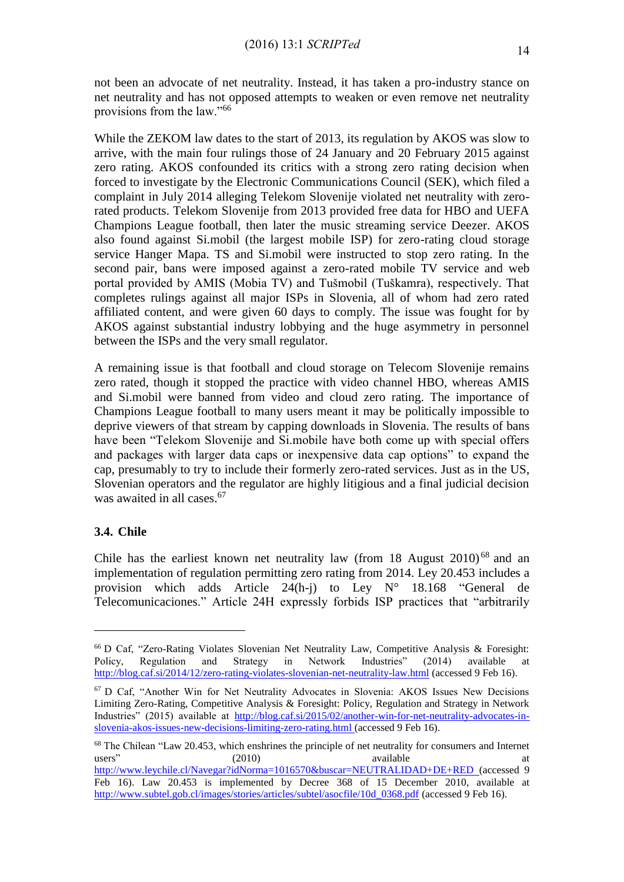not been an advocate of net neutrality. Instead, it has taken a pro-industry stance on net neutrality and has not opposed attempts to weaken or even remove net neutrality provisions from the law."<sup>66</sup>

While the ZEKOM law dates to the start of 2013, its regulation by AKOS was slow to arrive, with the main four rulings those of 24 January and 20 February 2015 against zero rating. AKOS confounded its critics with a strong zero rating decision when forced to investigate by the Electronic Communications Council (SEK), which filed a complaint in July 2014 alleging Telekom Slovenije violated net neutrality with zerorated products. Telekom Slovenije from 2013 provided free data for HBO and UEFA Champions League football, then later the music streaming service Deezer. AKOS also found against Si.mobil (the largest mobile ISP) for zero-rating cloud storage service Hanger Mapa. TS and Si.mobil were instructed to stop zero rating. In the second pair, bans were imposed against a zero-rated mobile TV service and web portal provided by AMIS (Mobia TV) and Tušmobil (Tuškamra), respectively. That completes rulings against all major ISPs in Slovenia, all of whom had zero rated affiliated content, and were given 60 days to comply. The issue was fought for by AKOS against substantial industry lobbying and the huge asymmetry in personnel between the ISPs and the very small regulator.

A remaining issue is that football and cloud storage on Telecom Slovenije remains zero rated, though it stopped the practice with video channel HBO, whereas AMIS and Si.mobil were banned from video and cloud zero rating. The importance of Champions League football to many users meant it may be politically impossible to deprive viewers of that stream by capping downloads in Slovenia. The results of bans have been "Telekom Slovenije and Si.mobile have both come up with special offers and packages with larger data caps or inexpensive data cap options" to expand the cap, presumably to try to include their formerly zero-rated services. Just as in the US, Slovenian operators and the regulator are highly litigious and a final judicial decision was awaited in all cases. 67

#### **3.4. Chile**

<u>.</u>

Chile has the earliest known net neutrality law (from  $18$  August  $2010$ )<sup>68</sup> and an implementation of regulation permitting zero rating from 2014. Ley 20.453 includes a provision which adds Article 24(h-j) to Ley N° 18.168 "General de Telecomunicaciones." Article 24H expressly forbids ISP practices that "arbitrarily

<sup>66</sup> D Caf, "Zero-Rating Violates Slovenian Net Neutrality Law, Competitive Analysis & Foresight: Policy, Regulation and Strategy in Network Industries" (2014) available at <http://blog.caf.si/2014/12/zero-rating-violates-slovenian-net-neutrality-law.html> (accessed 9 Feb 16).

<sup>67</sup> D Caf, "Another Win for Net Neutrality Advocates in Slovenia: AKOS Issues New Decisions Limiting Zero-Rating, Competitive Analysis & Foresight: Policy, Regulation and Strategy in Network Industries" (2015) available at [http://blog.caf.si/2015/02/another-win-for-net-neutrality-advocates-in](http://blog.caf.si/2015/02/another-win-for-net-neutrality-advocates-in-slovenia-akos-issues-new-decisions-limiting-zero-rating.html)[slovenia-akos-issues-new-decisions-limiting-zero-rating.html](http://blog.caf.si/2015/02/another-win-for-net-neutrality-advocates-in-slovenia-akos-issues-new-decisions-limiting-zero-rating.html) (accessed 9 Feb 16).

<sup>68</sup> The Chilean "Law 20.453, which enshrines the principle of net neutrality for consumers and Internet users" (2010) available at a variable at a variable at  $(2010)$ <http://www.leychile.cl/Navegar?idNorma=1016570&buscar=NEUTRALIDAD+DE+RED> (accessed 9) Feb 16). Law 20.453 is implemented by Decree 368 of 15 December 2010, available at http://www.subtel.gob.cl/images/stories/articles/subtel/asocfile/10d 0368.pdf (accessed 9 Feb 16).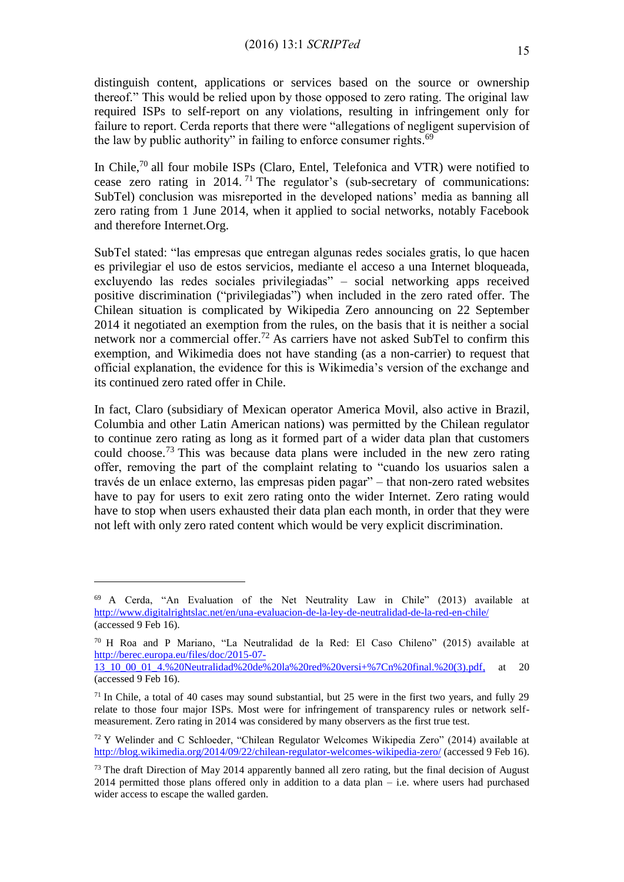distinguish content, applications or services based on the source or ownership thereof." This would be relied upon by those opposed to zero rating. The original law required ISPs to self-report on any violations, resulting in infringement only for failure to report. Cerda reports that there were "allegations of negligent supervision of the law by public authority" in failing to enforce consumer rights.<sup>69</sup>

In Chile,<sup>70</sup> all four mobile ISPs (Claro, Entel, Telefonica and VTR) were notified to cease zero rating in 2014.<sup>71</sup> The regulator's (sub-secretary of communications: SubTel) conclusion was misreported in the developed nations' media as banning all zero rating from 1 June 2014, when it applied to social networks, notably Facebook and therefore Internet.Org.

SubTel stated: "las empresas que entregan algunas redes sociales gratis, lo que hacen es privilegiar el uso de estos servicios, mediante el acceso a una Internet bloqueada, excluyendo las redes sociales privilegiadas" – social networking apps received positive discrimination ("privilegiadas") when included in the zero rated offer. The Chilean situation is complicated by Wikipedia Zero announcing on 22 September 2014 it negotiated an exemption from the rules, on the basis that it is neither a social network nor a commercial offer. <sup>72</sup> As carriers have not asked SubTel to confirm this exemption, and Wikimedia does not have standing (as a non-carrier) to request that official explanation, the evidence for this is Wikimedia's version of the exchange and its continued zero rated offer in Chile.

In fact, Claro (subsidiary of Mexican operator America Movil, also active in Brazil, Columbia and other Latin American nations) was permitted by the Chilean regulator to continue zero rating as long as it formed part of a wider data plan that customers could choose. <sup>73</sup> This was because data plans were included in the new zero rating offer, removing the part of the complaint relating to "cuando los usuarios salen a través de un enlace externo, las empresas piden pagar" – that non-zero rated websites have to pay for users to exit zero rating onto the wider Internet. Zero rating would have to stop when users exhausted their data plan each month, in order that they were not left with only zero rated content which would be very explicit discrimination.

<sup>69</sup> A Cerda, "An Evaluation of the Net Neutrality Law in Chile" (2013) available at <http://www.digitalrightslac.net/en/una-evaluacion-de-la-ley-de-neutralidad-de-la-red-en-chile/> (accessed 9 Feb 16).

<sup>70</sup> H Roa and P Mariano, "La Neutralidad de la Red: El Caso Chileno" (2015) available at [http://berec.europa.eu/files/doc/2015-07-](http://berec.europa.eu/files/doc/2015-07-13_10_00_01_4.%20Neutralidad%20de%20la%20red%20versi+%7Cn%20final.%20(3).pdf)

[<sup>13</sup>\\_10\\_00\\_01\\_4.%20Neutralidad%20de%20la%20red%20versi+%7Cn%20final.%20\(3\).pdf,](http://berec.europa.eu/files/doc/2015-07-13_10_00_01_4.%20Neutralidad%20de%20la%20red%20versi+%7Cn%20final.%20(3).pdf) at 20 (accessed 9 Feb 16).

 $71$  In Chile, a total of 40 cases may sound substantial, but 25 were in the first two years, and fully 29 relate to those four major ISPs. Most were for infringement of transparency rules or network selfmeasurement. Zero rating in 2014 was considered by many observers as the first true test.

<sup>72</sup> Y Welinder and C Schloeder, "Chilean Regulator Welcomes Wikipedia Zero" (2014) available at <http://blog.wikimedia.org/2014/09/22/chilean-regulator-welcomes-wikipedia-zero/> (accessed 9 Feb 16).

 $<sup>73</sup>$  The draft Direction of May 2014 apparently banned all zero rating, but the final decision of August</sup> 2014 permitted those plans offered only in addition to a data plan – i.e. where users had purchased wider access to escape the walled garden.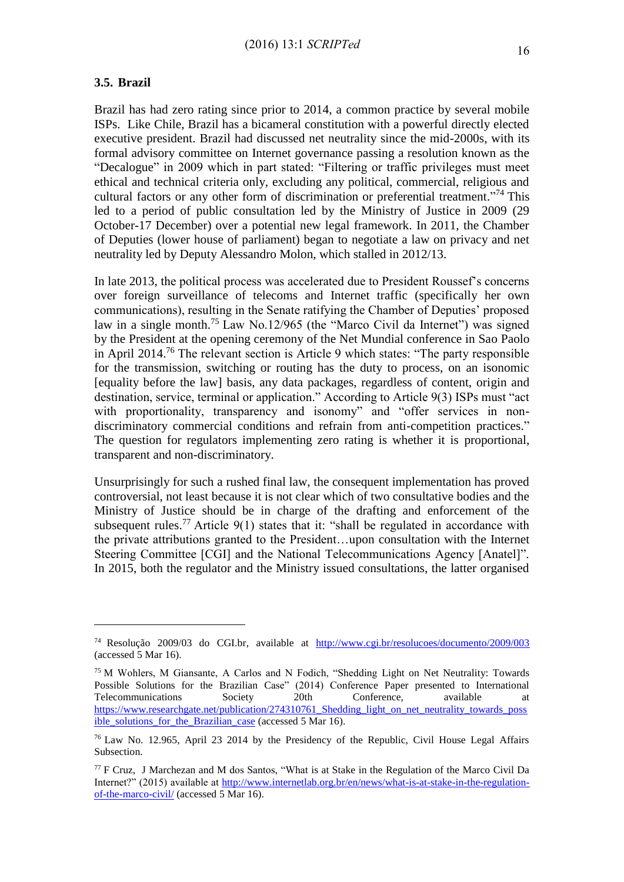<u>.</u>

Brazil has had zero rating since prior to 2014, a common practice by several mobile ISPs. Like Chile, Brazil has a bicameral constitution with a powerful directly elected executive president. Brazil had discussed net neutrality since the mid-2000s, with its formal advisory committee on Internet governance passing a resolution known as the "Decalogue" in 2009 which in part stated: "Filtering or traffic privileges must meet ethical and technical criteria only, excluding any political, commercial, religious and cultural factors or any other form of discrimination or preferential treatment."<sup>74</sup> This led to a period of public consultation led by the Ministry of Justice in 2009 (29 October-17 December) over a potential new legal framework. In 2011, the Chamber of Deputies (lower house of parliament) began to negotiate a law on privacy and net neutrality led by Deputy Alessandro Molon, which stalled in 2012/13.

In late 2013, the political process was accelerated due to President Roussef's concerns over foreign surveillance of telecoms and Internet traffic (specifically her own communications), resulting in the Senate ratifying the Chamber of Deputies' proposed law in a single month.<sup>75</sup> Law No.12/965 (the "Marco Civil da Internet") was signed by the President at the opening ceremony of the Net Mundial conference in Sao Paolo in April 2014. <sup>76</sup> The relevant section is Article 9 which states: "The party responsible for the transmission, switching or routing has the duty to process, on an isonomic [equality before the law] basis, any data packages, regardless of content, origin and destination, service, terminal or application." According to Article 9(3) ISPs must "act with proportionality, transparency and isonomy" and "offer services in nondiscriminatory commercial conditions and refrain from anti-competition practices." The question for regulators implementing zero rating is whether it is proportional, transparent and non-discriminatory.

Unsurprisingly for such a rushed final law, the consequent implementation has proved controversial, not least because it is not clear which of two consultative bodies and the Ministry of Justice should be in charge of the drafting and enforcement of the subsequent rules.<sup>77</sup> Article  $9(1)$  states that it: "shall be regulated in accordance with the private attributions granted to the President…upon consultation with the Internet Steering Committee [CGI] and the National Telecommunications Agency [Anatel]". In 2015, both the regulator and the Ministry issued consultations, the latter organised

<sup>74</sup> Resolução 2009/03 do CGI.br, available at <http://www.cgi.br/resolucoes/documento/2009/003> (accessed 5 Mar 16).

<sup>75</sup> M Wohlers, M Giansante, A Carlos and N Fodich, "Shedding Light on Net Neutrality: Towards Possible Solutions for the Brazilian Case" (2014) Conference Paper presented to International Telecommunications Society 20th Conference, available at [https://www.researchgate.net/publication/274310761\\_Shedding\\_light\\_on\\_net\\_neutrality\\_towards\\_poss](https://www.researchgate.net/publication/274310761_Shedding_light_on_net_neutrality_towards_possible_solutions_for_the_Brazilian_case) [ible\\_solutions\\_for\\_the\\_Brazilian\\_case](https://www.researchgate.net/publication/274310761_Shedding_light_on_net_neutrality_towards_possible_solutions_for_the_Brazilian_case) (accessed 5 Mar 16).

<sup>76</sup> Law No. 12.965, April 23 2014 by the Presidency of the Republic, Civil House Legal Affairs Subsection.

<sup>&</sup>lt;sup>77</sup> F Cruz, J Marchezan and M dos Santos, "What is at Stake in the Regulation of the Marco Civil Da Internet?" (2015) available at [http://www.internetlab.org.br/en/news/what-is-at-stake-in-the-regulation](http://www.internetlab.org.br/en/news/what-is-at-stake-in-the-regulation-of-the-marco-civil/)[of-the-marco-civil/](http://www.internetlab.org.br/en/news/what-is-at-stake-in-the-regulation-of-the-marco-civil/) (accessed 5 Mar 16).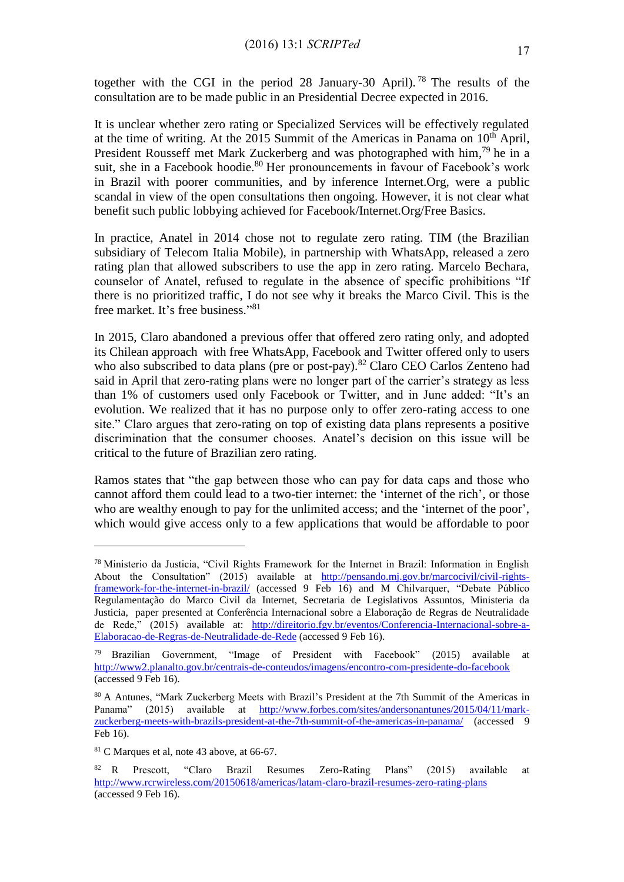together with the CGI in the period 28 January-30 April). <sup>78</sup> The results of the consultation are to be made public in an Presidential Decree expected in 2016.

It is unclear whether zero rating or Specialized Services will be effectively regulated at the time of writing. At the 2015 Summit of the Americas in Panama on  $10<sup>th</sup>$  April, President Rousseff met Mark Zuckerberg and was photographed with him,<sup>79</sup> he in a suit, she in a Facebook hoodie.<sup>80</sup> Her pronouncements in favour of Facebook's work in Brazil with poorer communities, and by inference Internet.Org, were a public scandal in view of the open consultations then ongoing. However, it is not clear what benefit such public lobbying achieved for Facebook/Internet.Org/Free Basics.

In practice, Anatel in 2014 chose not to regulate zero rating. TIM (the Brazilian subsidiary of Telecom Italia Mobile), in partnership with WhatsApp, released a zero rating plan that allowed subscribers to use the app in zero rating. Marcelo Bechara, counselor of Anatel, refused to regulate in the absence of specific prohibitions "If there is no prioritized traffic, I do not see why it breaks the Marco Civil. This is the free market. It's free business."<sup>81</sup>

In 2015, Claro abandoned a previous offer that offered zero rating only, and adopted its Chilean approach with free WhatsApp, Facebook and Twitter offered only to users who also subscribed to data plans (pre or post-pay).<sup>82</sup> Claro CEO Carlos Zenteno had said in April that zero-rating plans were no longer part of the carrier's strategy as less than 1% of customers used only Facebook or Twitter, and in June added: "It's an evolution. We realized that it has no purpose only to offer zero-rating access to one site." Claro argues that zero-rating on top of existing data plans represents a positive discrimination that the consumer chooses. Anatel's decision on this issue will be critical to the future of Brazilian zero rating.

Ramos states that "the gap between those who can pay for data caps and those who cannot afford them could lead to a two-tier internet: the 'internet of the rich', or those who are wealthy enough to pay for the unlimited access; and the 'internet of the poor', which would give access only to a few applications that would be affordable to poor

<sup>78</sup> Ministerio da Justicia, "Civil Rights Framework for the Internet in Brazil: Information in English About the Consultation" (2015) available at [http://pensando.mj.gov.br/marcocivil/civil-rights](http://pensando.mj.gov.br/marcocivil/civil-rights-framework-for-the-internet-in-brazil/)[framework-for-the-internet-in-brazil/](http://pensando.mj.gov.br/marcocivil/civil-rights-framework-for-the-internet-in-brazil/) (accessed 9 Feb 16) and M Chilvarquer, "Debate Público Regulamentação do Marco Civil da Internet, Secretaria de Legislativos Assuntos, Ministeria da Justicia, paper presented at Conferência Internacional sobre a Elaboração de Regras de Neutralidade de Rede," (2015) available at: [http://direitorio.fgv.br/eventos/Conferencia-Internacional-sobre-a-](http://direitorio.fgv.br/eventos/Conferencia-Internacional-sobre-a-Elaboracao-de-Regras-de-Neutralidade-de-Rede)[Elaboracao-de-Regras-de-Neutralidade-de-Rede](http://direitorio.fgv.br/eventos/Conferencia-Internacional-sobre-a-Elaboracao-de-Regras-de-Neutralidade-de-Rede) (accessed 9 Feb 16).

<sup>79</sup> Brazilian Government, "Image of President with Facebook" (2015) available at <http://www2.planalto.gov.br/centrais-de-conteudos/imagens/encontro-com-presidente-do-facebook> (accessed 9 Feb 16).

<sup>80</sup> A Antunes, "Mark Zuckerberg Meets with Brazil's President at the 7th Summit of the Americas in Panama" (2015) available at [http://www.forbes.com/sites/andersonantunes/2015/04/11/mark](http://www.forbes.com/sites/andersonantunes/2015/04/11/mark-zuckerberg-meets-with-brazils-president-at-the-7th-summit-of-the-americas-in-panama/)[zuckerberg-meets-with-brazils-president-at-the-7th-summit-of-the-americas-in-panama/](http://www.forbes.com/sites/andersonantunes/2015/04/11/mark-zuckerberg-meets-with-brazils-president-at-the-7th-summit-of-the-americas-in-panama/) (accessed 9 Feb 16).

<sup>81</sup> C Marques et al, note 43 above, at 66-67.

<sup>82</sup> R Prescott, "Claro Brazil Resumes Zero-Rating Plans" (2015) available at <http://www.rcrwireless.com/20150618/americas/latam-claro-brazil-resumes-zero-rating-plans> (accessed 9 Feb 16).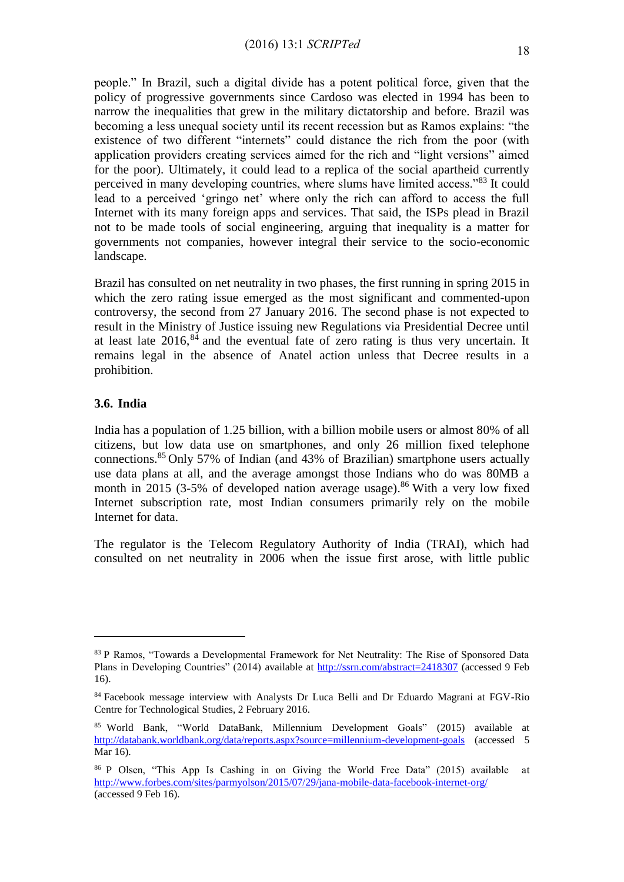people." In Brazil, such a digital divide has a potent political force, given that the policy of progressive governments since Cardoso was elected in 1994 has been to narrow the inequalities that grew in the military dictatorship and before. Brazil was becoming a less unequal society until its recent recession but as Ramos explains: "the existence of two different "internets" could distance the rich from the poor (with application providers creating services aimed for the rich and "light versions" aimed for the poor). Ultimately, it could lead to a replica of the social apartheid currently perceived in many developing countries, where slums have limited access."<sup>83</sup> It could lead to a perceived 'gringo net' where only the rich can afford to access the full Internet with its many foreign apps and services. That said, the ISPs plead in Brazil not to be made tools of social engineering, arguing that inequality is a matter for governments not companies, however integral their service to the socio-economic landscape.

Brazil has consulted on net neutrality in two phases, the first running in spring 2015 in which the zero rating issue emerged as the most significant and commented-upon controversy, the second from 27 January 2016. The second phase is not expected to result in the Ministry of Justice issuing new Regulations via Presidential Decree until at least late 2016, <sup>84</sup> and the eventual fate of zero rating is thus very uncertain. It remains legal in the absence of Anatel action unless that Decree results in a prohibition.

#### **3.6. India**

1

India has a population of 1.25 billion, with a billion mobile users or almost 80% of all citizens, but low data use on smartphones, and only 26 million fixed telephone connections.<sup>85</sup> Only 57% of Indian (and 43% of Brazilian) smartphone users actually use data plans at all, and the average amongst those Indians who do was 80MB a month in 2015 (3-5% of developed nation average usage).<sup>86</sup> With a very low fixed Internet subscription rate, most Indian consumers primarily rely on the mobile Internet for data.

The regulator is the Telecom Regulatory Authority of India (TRAI), which had consulted on net neutrality in 2006 when the issue first arose, with little public

<sup>&</sup>lt;sup>83</sup> P Ramos, "Towards a Developmental Framework for Net Neutrality: The Rise of Sponsored Data Plans in Developing Countries" (2014) available at<http://ssrn.com/abstract=2418307> (accessed 9 Feb 16).

<sup>84</sup> Facebook message interview with Analysts Dr Luca Belli and Dr Eduardo Magrani at FGV-Rio Centre for Technological Studies, 2 February 2016.

<sup>85</sup> World Bank, "World DataBank, Millennium Development Goals" (2015) available at <http://databank.worldbank.org/data/reports.aspx?source=millennium-development-goals> (accessed 5 Mar 16).

<sup>86</sup> P Olsen, "This App Is Cashing in on Giving the World Free Data" (2015) available at <http://www.forbes.com/sites/parmyolson/2015/07/29/jana-mobile-data-facebook-internet-org/> (accessed 9 Feb 16).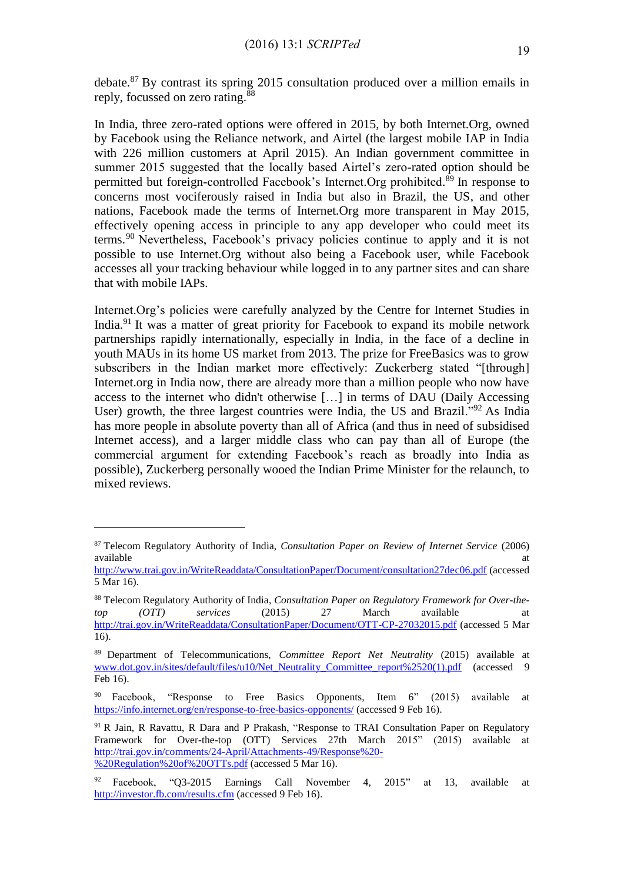In India, three zero-rated options were offered in 2015, by both Internet.Org, owned by Facebook using the Reliance network, and Airtel (the largest mobile IAP in India with 226 million customers at April 2015). An Indian government committee in summer 2015 suggested that the locally based Airtel's zero-rated option should be permitted but foreign-controlled Facebook's Internet. Org prohibited.<sup>89</sup> In response to concerns most vociferously raised in India but also in Brazil, the US, and other nations, Facebook made the terms of Internet.Org more transparent in May 2015, effectively opening access in principle to any app developer who could meet its terms.<sup>90</sup> Nevertheless, Facebook's privacy policies continue to apply and it is not possible to use Internet.Org without also being a Facebook user, while Facebook accesses all your tracking behaviour while logged in to any partner sites and can share that with mobile IAPs.

Internet.Org's policies were carefully analyzed by the Centre for Internet Studies in India.<sup>91</sup> It was a matter of great priority for Facebook to expand its mobile network partnerships rapidly internationally, especially in India, in the face of a decline in youth MAUs in its home US market from 2013. The prize for FreeBasics was to grow subscribers in the Indian market more effectively: Zuckerberg stated "[through] Internet.org in India now, there are already more than a million people who now have access to the internet who didn't otherwise […] in terms of DAU (Daily Accessing User) growth, the three largest countries were India, the US and Brazil."<sup>92</sup> As India has more people in absolute poverty than all of Africa (and thus in need of subsidised Internet access), and a larger middle class who can pay than all of Europe (the commercial argument for extending Facebook's reach as broadly into India as possible), Zuckerberg personally wooed the Indian Prime Minister for the relaunch, to mixed reviews.

1

<sup>87</sup> Telecom Regulatory Authority of India, *Consultation Paper on Review of Internet Service* (2006) available at the contract of the contract of the contract of the contract of the contract of the contract of the contract of the contract of the contract of the contract of the contract of the contract of the contract of t

<http://www.trai.gov.in/WriteReaddata/ConsultationPaper/Document/consultation27dec06.pdf> (accessed 5 Mar 16).

<sup>88</sup> Telecom Regulatory Authority of India, *Consultation Paper on Regulatory Framework for Over-thetop (OTT) services* (2015) 27 March available at <http://trai.gov.in/WriteReaddata/ConsultationPaper/Document/OTT-CP-27032015.pdf> (accessed 5 Mar 16).

<sup>89</sup> Department of Telecommunications, *Committee Report Net Neutrality* (2015) available at [www.dot.gov.in/sites/default/files/u10/Net\\_Neutrality\\_Committee\\_report%2520\(1\).pdf](http://www.dot.gov.in/sites/default/files/u10/Net_Neutrality_Committee_report%2520(1).pdf) (accessed 9 Feb 16).

<sup>90</sup> Facebook, "Response to Free Basics Opponents, Item 6" (2015) available at <https://info.internet.org/en/response-to-free-basics-opponents/> (accessed 9 Feb 16).

<sup>&</sup>lt;sup>91</sup> R Jain, R Ravattu, R Dara and P Prakash, "Response to TRAI Consultation Paper on Regulatory Framework for Over-the-top (OTT) Services 27th March 2015" (2015) available at [http://trai.gov.in/comments/24-April/Attachments-49/Response%20-](http://trai.gov.in/comments/24-April/Attachments-49/Response%20-%20Regulation%20of%20OTTs.pdf) [%20Regulation%20of%20OTTs.pdf](http://trai.gov.in/comments/24-April/Attachments-49/Response%20-%20Regulation%20of%20OTTs.pdf) (accessed 5 Mar 16).

<sup>92</sup> Facebook, "Q3-2015 Earnings Call November 4, 2015" at 13, available at <http://investor.fb.com/results.cfm> (accessed 9 Feb 16).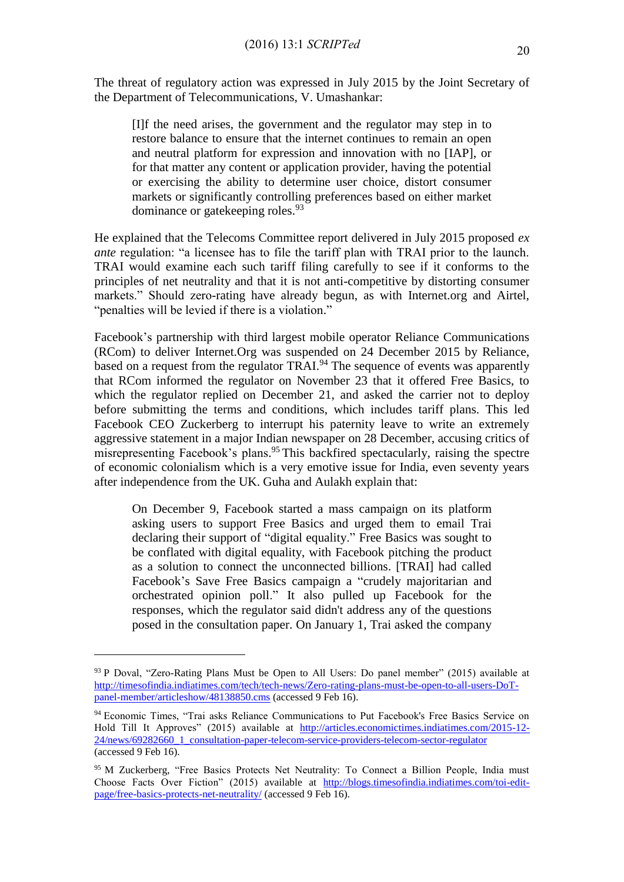The threat of regulatory action was expressed in July 2015 by the Joint Secretary of the Department of Telecommunications, V. Umashankar:

[I]f the need arises, the government and the regulator may step in to restore balance to ensure that the internet continues to remain an open and neutral platform for expression and innovation with no [IAP], or for that matter any content or application provider, having the potential or exercising the ability to determine user choice, distort consumer markets or significantly controlling preferences based on either market dominance or gatekeeping roles.<sup>93</sup>

He explained that the Telecoms Committee report delivered in July 2015 proposed *ex ante* regulation: "a licensee has to file the tariff plan with TRAI prior to the launch. TRAI would examine each such tariff filing carefully to see if it conforms to the principles of net neutrality and that it is not anti-competitive by distorting consumer markets." Should zero-rating have already begun, as with Internet.org and Airtel, "penalties will be levied if there is a violation."

Facebook's partnership with third largest mobile operator Reliance Communications (RCom) to deliver Internet.Org was suspended on 24 December 2015 by Reliance, based on a request from the regulator TRAI.<sup>94</sup> The sequence of events was apparently that RCom informed the regulator on November 23 that it offered Free Basics, to which the regulator replied on December 21, and asked the carrier not to deploy before submitting the terms and conditions, which includes tariff plans. This led Facebook CEO Zuckerberg to interrupt his paternity leave to write an extremely aggressive statement in a major Indian newspaper on 28 December, accusing critics of misrepresenting Facebook's plans. <sup>95</sup> This backfired spectacularly, raising the spectre of economic colonialism which is a very emotive issue for India, even seventy years after independence from the UK. Guha and Aulakh explain that:

On December 9, Facebook started a mass campaign on its platform asking users to support Free Basics and urged them to email Trai declaring their support of "digital equality." Free Basics was sought to be conflated with digital equality, with Facebook pitching the product as a solution to connect the unconnected billions. [TRAI] had called Facebook's Save Free Basics campaign a "crudely majoritarian and orchestrated opinion poll." It also pulled up Facebook for the responses, which the regulator said didn't address any of the questions posed in the consultation paper. On January 1, Trai asked the company

1

<sup>93</sup> P Doval, "Zero-Rating Plans Must be Open to All Users: Do panel member" (2015) available at [http://timesofindia.indiatimes.com/tech/tech-news/Zero-rating-plans-must-be-open-to-all-users-DoT](http://timesofindia.indiatimes.com/tech/tech-news/Zero-rating-plans-must-be-open-to-all-users-DoT-panel-member/articleshow/48138850.cms)[panel-member/articleshow/48138850.cms](http://timesofindia.indiatimes.com/tech/tech-news/Zero-rating-plans-must-be-open-to-all-users-DoT-panel-member/articleshow/48138850.cms) (accessed 9 Feb 16).

<sup>&</sup>lt;sup>94</sup> Economic Times, "Trai asks Reliance Communications to Put Facebook's Free Basics Service on Hold Till It Approves" (2015) available at [http://articles.economictimes.indiatimes.com/2015-12-](http://articles.economictimes.indiatimes.com/2015-12-24/news/69282660_1_consultation-paper-telecom-service-providers-telecom-sector-regulator) [24/news/69282660\\_1\\_consultation-paper-telecom-service-providers-telecom-sector-regulator](http://articles.economictimes.indiatimes.com/2015-12-24/news/69282660_1_consultation-paper-telecom-service-providers-telecom-sector-regulator) (accessed 9 Feb 16).

<sup>95</sup> M Zuckerberg, "Free Basics Protects Net Neutrality: To Connect a Billion People, India must Choose Facts Over Fiction" (2015) available at [http://blogs.timesofindia.indiatimes.com/toi-edit](http://blogs.timesofindia.indiatimes.com/toi-edit-page/free-basics-protects-net-neutrality/)[page/free-basics-protects-net-neutrality/](http://blogs.timesofindia.indiatimes.com/toi-edit-page/free-basics-protects-net-neutrality/) (accessed 9 Feb 16).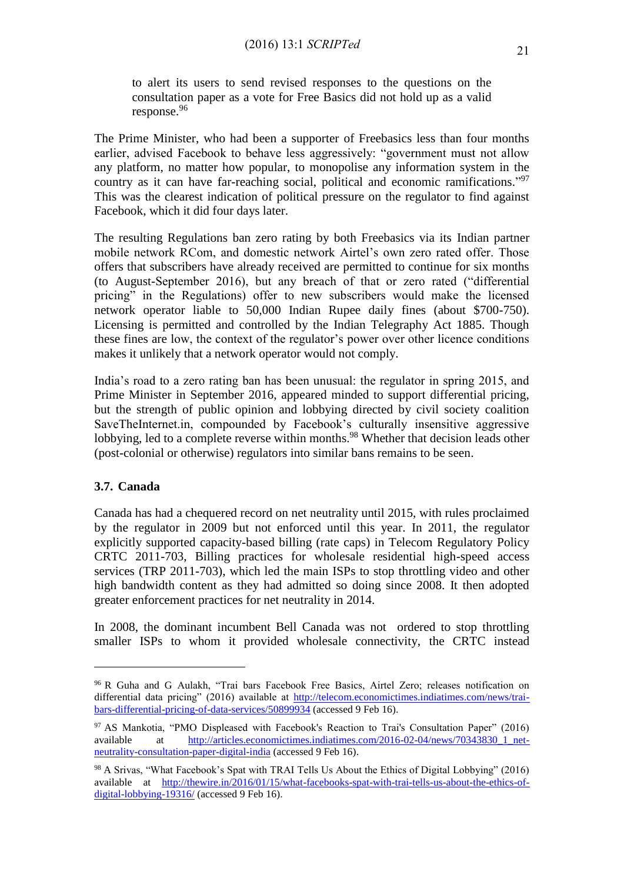to alert its users to send revised responses to the questions on the consultation paper as a vote for Free Basics did not hold up as a valid response.<sup>96</sup>

The Prime Minister, who had been a supporter of Freebasics less than four months earlier, advised Facebook to behave less aggressively: "government must not allow any platform, no matter how popular, to monopolise any information system in the country as it can have far-reaching social, political and economic ramifications."<sup>97</sup> This was the clearest indication of political pressure on the regulator to find against Facebook, which it did four days later.

The resulting Regulations ban zero rating by both Freebasics via its Indian partner mobile network RCom, and domestic network Airtel's own zero rated offer. Those offers that subscribers have already received are permitted to continue for six months (to August-September 2016), but any breach of that or zero rated ("differential pricing" in the Regulations) offer to new subscribers would make the licensed network operator liable to 50,000 Indian Rupee daily fines (about \$700-750). Licensing is permitted and controlled by the Indian Telegraphy Act 1885. Though these fines are low, the context of the regulator's power over other licence conditions makes it unlikely that a network operator would not comply.

India's road to a zero rating ban has been unusual: the regulator in spring 2015, and Prime Minister in September 2016, appeared minded to support differential pricing, but the strength of public opinion and lobbying directed by civil society coalition SaveTheInternet.in, compounded by Facebook's culturally insensitive aggressive lobbying, led to a complete reverse within months.<sup>98</sup> Whether that decision leads other (post-colonial or otherwise) regulators into similar bans remains to be seen.

#### **3.7. Canada**

<u>.</u>

Canada has had a chequered record on net neutrality until 2015, with rules proclaimed by the regulator in 2009 but not enforced until this year. In 2011, the regulator explicitly supported capacity-based billing (rate caps) in Telecom Regulatory Policy CRTC 2011-703, Billing practices for wholesale residential high-speed access services (TRP 2011-703), which led the main ISPs to stop throttling video and other high bandwidth content as they had admitted so doing since 2008. It then adopted greater enforcement practices for net neutrality in 2014.

In 2008, the dominant incumbent Bell Canada was not ordered to stop throttling smaller ISPs to whom it provided wholesale connectivity, the CRTC instead

<sup>&</sup>lt;sup>96</sup> R Guha and G Aulakh, "Trai bars Facebook Free Basics, Airtel Zero; releases notification on differential data pricing" (2016) available at [http://telecom.economictimes.indiatimes.com/news/trai](http://telecom.economictimes.indiatimes.com/news/trai-bars-differential-pricing-of-data-services/50899934)[bars-differential-pricing-of-data-services/50899934](http://telecom.economictimes.indiatimes.com/news/trai-bars-differential-pricing-of-data-services/50899934) (accessed 9 Feb 16).

<sup>97</sup> AS Mankotia, "PMO Displeased with Facebook's Reaction to Trai's Consultation Paper" (2016) available at [http://articles.economictimes.indiatimes.com/2016-02-04/news/70343830\\_1\\_net](http://articles.economictimes.indiatimes.com/2016-02-04/news/70343830_1_net-neutrality-consultation-paper-digital-india)[neutrality-consultation-paper-digital-india](http://articles.economictimes.indiatimes.com/2016-02-04/news/70343830_1_net-neutrality-consultation-paper-digital-india) (accessed 9 Feb 16).

<sup>98</sup> A Srivas, "What Facebook's Spat with TRAI Tells Us About the Ethics of Digital Lobbying" (2016) available at [http://thewire.in/2016/01/15/what-facebooks-spat-with-trai-tells-us-about-the-ethics-of](http://thewire.in/2016/01/15/what-facebooks-spat-with-trai-tells-us-about-the-ethics-of-digital-lobbying-19316/)[digital-lobbying-19316/](http://thewire.in/2016/01/15/what-facebooks-spat-with-trai-tells-us-about-the-ethics-of-digital-lobbying-19316/) (accessed 9 Feb 16).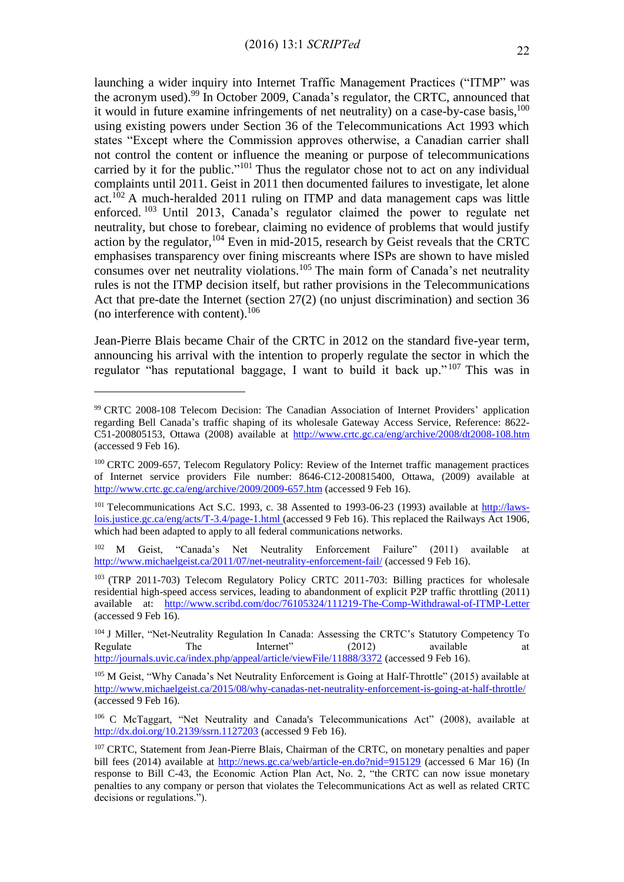launching a wider inquiry into Internet Traffic Management Practices ("ITMP" was the acronym used). <sup>99</sup> In October 2009, Canada's regulator, the CRTC, announced that it would in future examine infringements of net neutrality) on a case-by-case basis,  $100$ using existing powers under Section 36 of the Telecommunications Act 1993 which states "Except where the Commission approves otherwise, a Canadian carrier shall not control the content or influence the meaning or purpose of telecommunications carried by it for the public."<sup>101</sup> Thus the regulator chose not to act on any individual complaints until 2011. Geist in 2011 then documented failures to investigate, let alone act.<sup>102</sup> A much-heralded 2011 ruling on ITMP and data management caps was little enforced.<sup>103</sup> Until 2013, Canada's regulator claimed the power to regulate net neutrality, but chose to forebear, claiming no evidence of problems that would justify action by the regulator, <sup>104</sup> Even in mid-2015, research by Geist reveals that the CRTC emphasises transparency over fining miscreants where ISPs are shown to have misled consumes over net neutrality violations. <sup>105</sup> The main form of Canada's net neutrality rules is not the ITMP decision itself, but rather provisions in the Telecommunications Act that pre-date the Internet (section 27(2) (no unjust discrimination) and section 36 (no interference with content). 106

Jean-Pierre Blais became Chair of the CRTC in 2012 on the standard five-year term, announcing his arrival with the intention to properly regulate the sector in which the regulator "has reputational baggage, I want to build it back up."<sup>107</sup> This was in

1

<sup>&</sup>lt;sup>99</sup> CRTC 2008-108 Telecom Decision: The Canadian Association of Internet Providers' application regarding Bell Canada's traffic shaping of its wholesale Gateway Access Service, Reference: 8622- C51-200805153, Ottawa (2008) available at <http://www.crtc.gc.ca/eng/archive/2008/dt2008-108.htm> (accessed 9 Feb 16).

<sup>&</sup>lt;sup>100</sup> CRTC 2009-657, Telecom Regulatory Policy: Review of the Internet traffic management practices of Internet service providers File number: 8646-C12-200815400, Ottawa, (2009) available at <http://www.crtc.gc.ca/eng/archive/2009/2009-657.htm> (accessed 9 Feb 16).

<sup>&</sup>lt;sup>101</sup> Telecommunications Act S.C. 1993, c. 38 Assented to 1993-06-23 (1993) available at [http://laws](http://laws-lois.justice.gc.ca/eng/acts/T-3.4/page-1.html)[lois.justice.gc.ca/eng/acts/T-3.4/page-1.html](http://laws-lois.justice.gc.ca/eng/acts/T-3.4/page-1.html) (accessed 9 Feb 16). This replaced the Railways Act 1906, which had been adapted to apply to all federal communications networks.

<sup>102</sup> M Geist, "Canada's Net Neutrality Enforcement Failure" (2011) available at <http://www.michaelgeist.ca/2011/07/net-neutrality-enforcement-fail/> (accessed 9 Feb 16).

<sup>103</sup> (TRP 2011-703) Telecom Regulatory Policy CRTC 2011-703: Billing practices for wholesale residential high-speed access services, leading to abandonment of explicit P2P traffic throttling (2011) available at: <http://www.scribd.com/doc/76105324/111219-The-Comp-Withdrawal-of-ITMP-Letter> (accessed 9 Feb 16).

<sup>104</sup> J Miller, "Net-Neutrality Regulation In Canada: Assessing the CRTC's Statutory Competency To Regulate The Internet" (2012) available at <http://journals.uvic.ca/index.php/appeal/article/viewFile/11888/3372> (accessed 9 Feb 16).

<sup>&</sup>lt;sup>105</sup> M Geist, "Why Canada's Net Neutrality Enforcement is Going at Half-Throttle" (2015) available at <http://www.michaelgeist.ca/2015/08/why-canadas-net-neutrality-enforcement-is-going-at-half-throttle/> (accessed 9 Feb 16).

<sup>106</sup> C McTaggart, "Net Neutrality and Canada's Telecommunications Act" (2008), available at <http://dx.doi.org/10.2139/ssrn.1127203> (accessed 9 Feb 16).

<sup>&</sup>lt;sup>107</sup> CRTC, Statement from Jean-Pierre Blais, Chairman of the CRTC, on monetary penalties and paper bill fees (2014) available at<http://news.gc.ca/web/article-en.do?nid=915129> (accessed 6 Mar 16) (In response to Bill C-43, the Economic Action Plan Act, No. 2, "the CRTC can now issue monetary penalties to any company or person that violates the Telecommunications Act as well as related CRTC decisions or regulations.").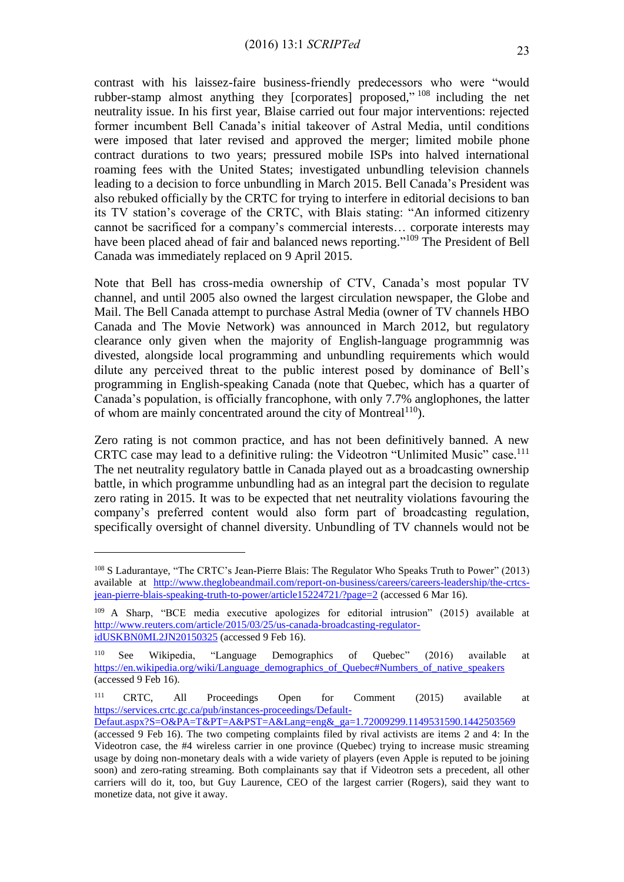contrast with his laissez-faire business-friendly predecessors who were "would rubber-stamp almost anything they [corporates] proposed,"<sup>108</sup> including the net neutrality issue. In his first year, Blaise carried out four major interventions: rejected former incumbent Bell Canada's initial takeover of Astral Media, until conditions were imposed that later revised and approved the merger; limited mobile phone contract durations to two years; pressured mobile ISPs into halved international roaming fees with the United States; investigated unbundling television channels leading to a decision to force unbundling in March 2015. Bell Canada's President was also rebuked officially by the CRTC for trying to interfere in editorial decisions to ban its TV station's coverage of the CRTC, with Blais stating: "An informed citizenry cannot be sacrificed for a company's commercial interests… corporate interests may have been placed ahead of fair and balanced news reporting."<sup>109</sup> The President of Bell Canada was immediately replaced on 9 April 2015.

Note that Bell has cross-media ownership of CTV, Canada's most popular TV channel, and until 2005 also owned the largest circulation newspaper, the Globe and Mail. The Bell Canada attempt to purchase Astral Media (owner of TV channels HBO Canada and The Movie Network) was announced in March 2012, but regulatory clearance only given when the majority of English-language programmnig was divested, alongside local programming and unbundling requirements which would dilute any perceived threat to the public interest posed by dominance of Bell's programming in English-speaking Canada (note that Quebec, which has a quarter of Canada's population, is officially francophone, with only 7.7% anglophones, the latter of whom are mainly concentrated around the city of Montreal<sup>110</sup>).

Zero rating is not common practice, and has not been definitively banned. A new CRTC case may lead to a definitive ruling: the Videotron "Unlimited Music" case.<sup>111</sup> The net neutrality regulatory battle in Canada played out as a broadcasting ownership battle, in which programme unbundling had as an integral part the decision to regulate zero rating in 2015. It was to be expected that net neutrality violations favouring the company's preferred content would also form part of broadcasting regulation, specifically oversight of channel diversity. Unbundling of TV channels would not be

<u>.</u>

[Defaut.aspx?S=O&PA=T&PT=A&PST=A&Lang=eng&\\_ga=1.72009299.1149531590.1442503569](https://services.crtc.gc.ca/pub/instances-proceedings/Default-Defaut.aspx?S=O&PA=T&PT=A&PST=A&Lang=eng&_ga=1.72009299.1149531590.1442503569)

<sup>108</sup> S Ladurantaye, "The CRTC's Jean-Pierre Blais: The Regulator Who Speaks Truth to Power" (2013) available at [http://www.theglobeandmail.com/report-on-business/careers/careers-leadership/the-crtcs](http://www.theglobeandmail.com/report-on-business/careers/careers-leadership/the-crtcs-jean-pierre-blais-speaking-truth-to-power/article15224721/?page=2)[jean-pierre-blais-speaking-truth-to-power/article15224721/?page=2](http://www.theglobeandmail.com/report-on-business/careers/careers-leadership/the-crtcs-jean-pierre-blais-speaking-truth-to-power/article15224721/?page=2) (accessed 6 Mar 16).

<sup>109</sup> A Sharp, "BCE media executive apologizes for editorial intrusion" (2015) available at [http://www.reuters.com/article/2015/03/25/us-canada-broadcasting-regulator](http://www.reuters.com/article/2015/03/25/us-canada-broadcasting-regulator-idUSKBN0ML2JN20150325)[idUSKBN0ML2JN20150325](http://www.reuters.com/article/2015/03/25/us-canada-broadcasting-regulator-idUSKBN0ML2JN20150325) (accessed 9 Feb 16).

<sup>110</sup> See Wikipedia, "Language Demographics of Quebec" (2016) available at [https://en.wikipedia.org/wiki/Language\\_demographics\\_of\\_Quebec#Numbers\\_of\\_native\\_speakers](https://en.wikipedia.org/wiki/Language_demographics_of_Quebec#Numbers_of_native_speakers) (accessed 9 Feb 16).

<sup>111</sup> CRTC, All Proceedings Open for Comment (2015) available at [https://services.crtc.gc.ca/pub/instances-proceedings/Default-](https://services.crtc.gc.ca/pub/instances-proceedings/Default-Defaut.aspx?S=O&PA=T&PT=A&PST=A&Lang=eng&_ga=1.72009299.1149531590.1442503569)

<sup>(</sup>accessed 9 Feb 16). The two competing complaints filed by rival activists are items 2 and 4: In the Videotron case, the #4 wireless carrier in one province (Quebec) trying to increase music streaming usage by doing non-monetary deals with a wide variety of players (even Apple is reputed to be joining soon) and zero-rating streaming. Both complainants say that if Videotron sets a precedent, all other carriers will do it, too, but Guy Laurence, CEO of the largest carrier (Rogers), said they want to monetize data, not give it away.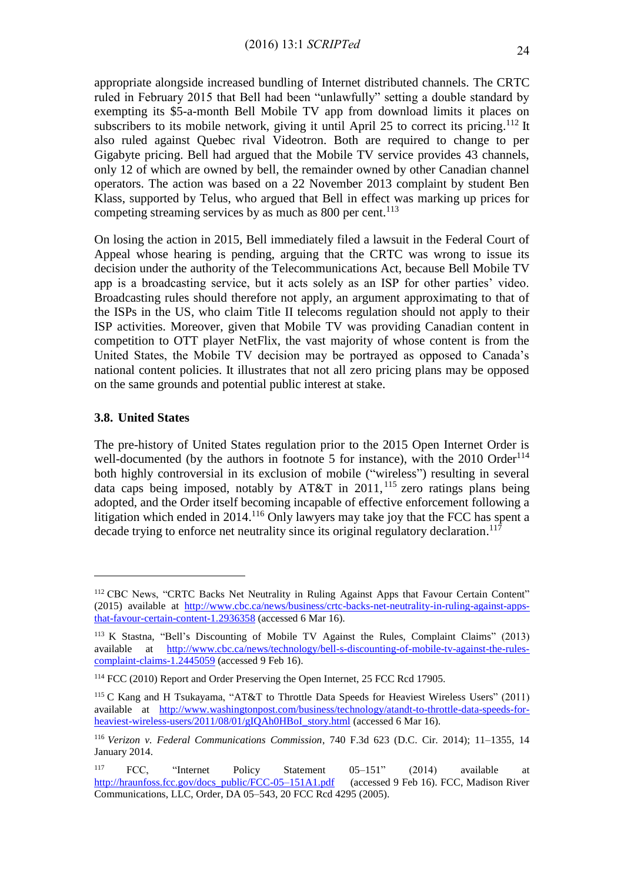appropriate alongside increased bundling of Internet distributed channels. The CRTC ruled in February 2015 that Bell had been "unlawfully" setting a double standard by exempting its \$5-a-month Bell Mobile TV app from download limits it places on subscribers to its mobile network, giving it until April 25 to correct its pricing.<sup>112</sup> It also ruled against Quebec rival Videotron. Both are required to change to per Gigabyte pricing. Bell had argued that the Mobile TV service provides 43 channels, only 12 of which are owned by bell, the remainder owned by other Canadian channel operators. The action was based on a 22 November 2013 complaint by student Ben Klass, supported by Telus, who argued that Bell in effect was marking up prices for competing streaming services by as much as 800 per cent. 113

On losing the action in 2015, Bell immediately filed a lawsuit in the Federal Court of Appeal whose hearing is pending, arguing that the CRTC was wrong to issue its decision under the authority of the Telecommunications Act, because Bell Mobile TV app is a broadcasting service, but it acts solely as an ISP for other parties' video. Broadcasting rules should therefore not apply, an argument approximating to that of the ISPs in the US, who claim Title II telecoms regulation should not apply to their ISP activities. Moreover, given that Mobile TV was providing Canadian content in competition to OTT player NetFlix, the vast majority of whose content is from the United States, the Mobile TV decision may be portrayed as opposed to Canada's national content policies. It illustrates that not all zero pricing plans may be opposed on the same grounds and potential public interest at stake.

#### **3.8. United States**

<u>.</u>

The pre-history of United States regulation prior to the 2015 Open Internet Order is well-documented (by the authors in footnote 5 for instance), with the  $2010 \text{ Order}^{114}$ both highly controversial in its exclusion of mobile ("wireless") resulting in several data caps being imposed, notably by AT&T in  $2011$ , <sup>115</sup> zero ratings plans being adopted, and the Order itself becoming incapable of effective enforcement following a litigation which ended in 2014.<sup>116</sup> Only lawyers may take joy that the FCC has spent a decade trying to enforce net neutrality since its original regulatory declaration.<sup>117</sup>

<sup>&</sup>lt;sup>112</sup> CBC News, "CRTC Backs Net Neutrality in Ruling Against Apps that Favour Certain Content" (2015) available at [http://www.cbc.ca/news/business/crtc-backs-net-neutrality-in-ruling-against-apps](http://www.cbc.ca/news/business/crtc-backs-net-neutrality-in-ruling-against-apps-that-favour-certain-content-1.2936358)[that-favour-certain-content-1.2936358](http://www.cbc.ca/news/business/crtc-backs-net-neutrality-in-ruling-against-apps-that-favour-certain-content-1.2936358) (accessed 6 Mar 16).

<sup>113</sup> K Stastna, "Bell's Discounting of Mobile TV Against the Rules, Complaint Claims" (2013) available at [http://www.cbc.ca/news/technology/bell-s-discounting-of-mobile-tv-against-the-rules](http://www.cbc.ca/news/technology/bell-s-discounting-of-mobile-tv-against-the-rules-complaint-claims-1.2445059)[complaint-claims-1.2445059](http://www.cbc.ca/news/technology/bell-s-discounting-of-mobile-tv-against-the-rules-complaint-claims-1.2445059) (accessed 9 Feb 16).

<sup>114</sup> FCC (2010) Report and Order Preserving the Open Internet, 25 FCC Rcd 17905.

<sup>115</sup> C Kang and H Tsukayama, "AT&T to Throttle Data Speeds for Heaviest Wireless Users" (2011) available at [http://www.washingtonpost.com/business/technology/atandt-to-throttle-data-speeds-for](http://www.washingtonpost.com/business/technology/atandt-to-throttle-data-speeds-for-heaviest-wireless-users/2011/08/01/gIQAh0HBoI_story.html)[heaviest-wireless-users/2011/08/01/gIQAh0HBoI\\_story.html](http://www.washingtonpost.com/business/technology/atandt-to-throttle-data-speeds-for-heaviest-wireless-users/2011/08/01/gIQAh0HBoI_story.html) (accessed 6 Mar 16).

<sup>116</sup> *Verizon v. Federal Communications Commission*, 740 F.3d 623 (D.C. Cir. 2014); 11–1355, 14 January 2014.

<sup>117</sup> FCC, "Internet Policy Statement 05–151" (2014) available at [http://hraunfoss.fcc.gov/docs\\_public/FCC-05–151A1.pdf](http://hraunfoss.fcc.gov/docs_public/FCC-05–151A1.pdf) (accessed 9 Feb 16). FCC, Madison River Communications, LLC, Order, DA 05–543, 20 FCC Rcd 4295 (2005).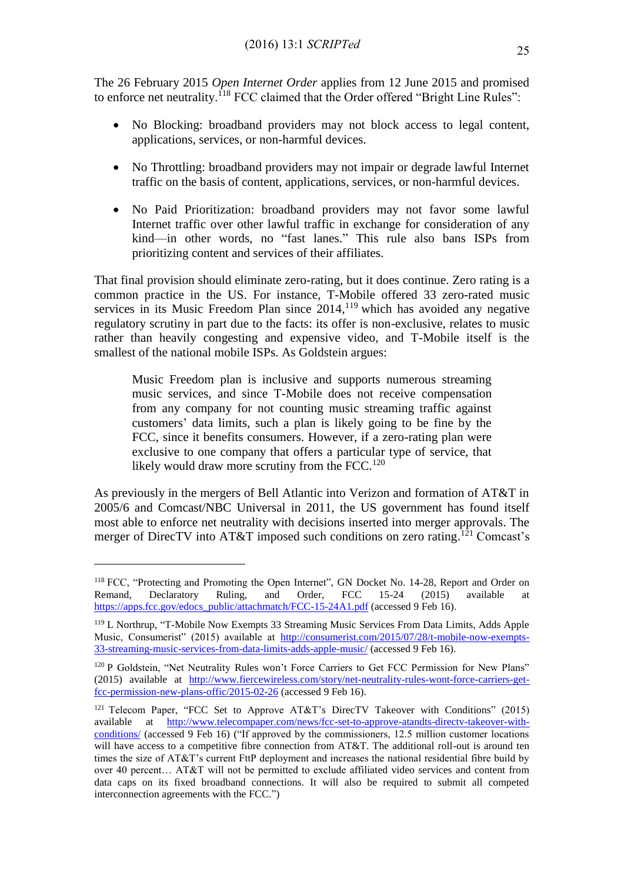The 26 February 2015 *Open Internet Order* applies from 12 June 2015 and promised to enforce net neutrality.<sup>118</sup> FCC claimed that the Order offered "Bright Line Rules":

- No Blocking: broadband providers may not block access to legal content, applications, services, or non-harmful devices.
- No Throttling: broadband providers may not impair or degrade lawful Internet traffic on the basis of content, applications, services, or non-harmful devices.
- No Paid Prioritization: broadband providers may not favor some lawful Internet traffic over other lawful traffic in exchange for consideration of any kind—in other words, no "fast lanes." This rule also bans ISPs from prioritizing content and services of their affiliates.

That final provision should eliminate zero-rating, but it does continue. Zero rating is a common practice in the US. For instance, T-Mobile offered 33 zero-rated music services in its Music Freedom Plan since  $2014$ ,  $^{119}$  which has avoided any negative regulatory scrutiny in part due to the facts: its offer is non-exclusive, relates to music rather than heavily congesting and expensive video, and T-Mobile itself is the smallest of the national mobile ISPs. As Goldstein argues:

Music Freedom plan is inclusive and supports numerous streaming music services, and since T-Mobile does not receive compensation from any company for not counting music streaming traffic against customers' data limits, such a plan is likely going to be fine by the FCC, since it benefits consumers. However, if a zero-rating plan were exclusive to one company that offers a particular type of service, that likely would draw more scrutiny from the FCC.<sup>120</sup>

As previously in the mergers of Bell Atlantic into Verizon and formation of AT&T in 2005/6 and Comcast/NBC Universal in 2011, the US government has found itself most able to enforce net neutrality with decisions inserted into merger approvals. The merger of DirecTV into AT&T imposed such conditions on zero rating.<sup>121</sup> Comcast's

1

<sup>118</sup> FCC, "Protecting and Promoting the Open Internet", GN Docket No. 14-28, Report and Order on Remand, Declaratory Ruling, and Order, FCC 15-24 (2015) available at [https://apps.fcc.gov/edocs\\_public/attachmatch/FCC-15-24A1.pdf](https://apps.fcc.gov/edocs_public/attachmatch/FCC-15-24A1.pdf) (accessed 9 Feb 16).

<sup>119</sup> L Northrup, "T-Mobile Now Exempts 33 Streaming Music Services From Data Limits, Adds Apple Music, Consumerist" (2015) available at [http://consumerist.com/2015/07/28/t-mobile-now-exempts-](http://consumerist.com/2015/07/28/t-mobile-now-exempts-33-streaming-music-services-from-data-limits-adds-apple-music/)[33-streaming-music-services-from-data-limits-adds-apple-music/](http://consumerist.com/2015/07/28/t-mobile-now-exempts-33-streaming-music-services-from-data-limits-adds-apple-music/) (accessed 9 Feb 16).

<sup>&</sup>lt;sup>120</sup> P Goldstein, "Net Neutrality Rules won't Force Carriers to Get FCC Permission for New Plans" (2015) available at [http://www.fiercewireless.com/story/net-neutrality-rules-wont-force-carriers-get](http://www.fiercewireless.com/story/net-neutrality-rules-wont-force-carriers-get-fcc-permission-new-plans-offic/2015-02-26)[fcc-permission-new-plans-offic/2015-02-26](http://www.fiercewireless.com/story/net-neutrality-rules-wont-force-carriers-get-fcc-permission-new-plans-offic/2015-02-26) (accessed 9 Feb 16).

<sup>&</sup>lt;sup>121</sup> Telecom Paper, "FCC Set to Approve AT&T's DirecTV Takeover with Conditions" (2015) available at [http://www.telecompaper.com/news/fcc-set-to-approve-atandts-directv-takeover-with](http://www.telecompaper.com/news/fcc-set-to-approve-atandts-directv-takeover-with-conditions/)[conditions/](http://www.telecompaper.com/news/fcc-set-to-approve-atandts-directv-takeover-with-conditions/) (accessed 9 Feb 16) ("If approved by the commissioners, 12.5 million customer locations will have access to a competitive fibre connection from AT&T. The additional roll-out is around ten times the size of AT&T's current FttP deployment and increases the national residential fibre build by over 40 percent… AT&T will not be permitted to exclude affiliated video services and content from data caps on its fixed broadband connections. It will also be required to submit all competed interconnection agreements with the FCC.")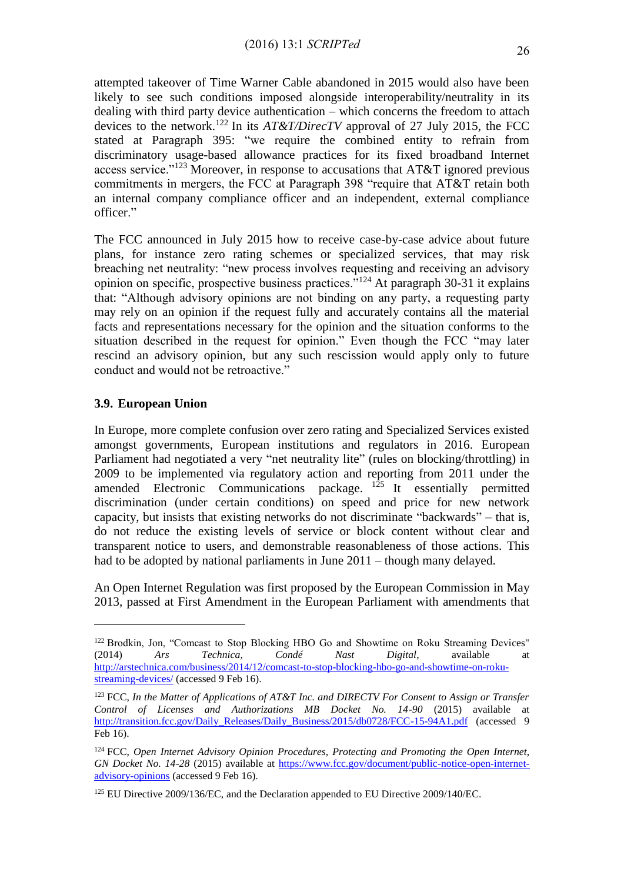attempted takeover of Time Warner Cable abandoned in 2015 would also have been likely to see such conditions imposed alongside interoperability/neutrality in its dealing with third party device authentication – which concerns the freedom to attach devices to the network.<sup>122</sup> In its *AT&T/DirecTV* approval of 27 July 2015, the FCC stated at Paragraph 395: "we require the combined entity to refrain from discriminatory usage-based allowance practices for its fixed broadband Internet access service."<sup>123</sup> Moreover, in response to accusations that AT&T ignored previous commitments in mergers, the FCC at Paragraph 398 "require that AT&T retain both an internal company compliance officer and an independent, external compliance officer."

The FCC announced in July 2015 how to receive case-by-case advice about future plans, for instance zero rating schemes or specialized services, that may risk breaching net neutrality: "new process involves requesting and receiving an advisory opinion on specific, prospective business practices."<sup>124</sup> At paragraph 30-31 it explains that: "Although advisory opinions are not binding on any party, a requesting party may rely on an opinion if the request fully and accurately contains all the material facts and representations necessary for the opinion and the situation conforms to the situation described in the request for opinion." Even though the FCC "may later rescind an advisory opinion, but any such rescission would apply only to future conduct and would not be retroactive."

#### **3.9. European Union**

<u>.</u>

In Europe, more complete confusion over zero rating and Specialized Services existed amongst governments, European institutions and regulators in 2016. European Parliament had negotiated a very "net neutrality lite" (rules on blocking/throttling) in 2009 to be implemented via regulatory action and reporting from 2011 under the amended Electronic Communications package.  $125$  It essentially permitted discrimination (under certain conditions) on speed and price for new network capacity, but insists that existing networks do not discriminate "backwards" – that is, do not reduce the existing levels of service or block content without clear and transparent notice to users, and demonstrable reasonableness of those actions. This had to be adopted by national parliaments in June 2011 – though many delayed.

An Open Internet Regulation was first proposed by the European Commission in May 2013, passed at First Amendment in the European Parliament with amendments that

<sup>&</sup>lt;sup>122</sup> Brodkin, Jon, "Comcast to Stop Blocking HBO Go and Showtime on Roku Streaming Devices" (2014) *Ars Technica, Condé Nast Digital*, available at [http://arstechnica.com/business/2014/12/comcast-to-stop-blocking-hbo-go-and-showtime-on-roku](http://arstechnica.com/business/2014/12/comcast-to-stop-blocking-hbo-go-and-showtime-on-roku-streaming-devices/)[streaming-devices/](http://arstechnica.com/business/2014/12/comcast-to-stop-blocking-hbo-go-and-showtime-on-roku-streaming-devices/) (accessed 9 Feb 16).

<sup>123</sup> FCC, *In the Matter of Applications of AT&T Inc. and DIRECTV For Consent to Assign or Transfer Control of Licenses and Authorizations MB Docket No. 14-90* (2015) available at [http://transition.fcc.gov/Daily\\_Releases/Daily\\_Business/2015/db0728/FCC-15-94A1.pdf](http://transition.fcc.gov/Daily_Releases/Daily_Business/2015/db0728/FCC-15-94A1.pdf) (accessed 9) Feb 16).

<sup>&</sup>lt;sup>124</sup> FCC, *Open Internet Advisory Opinion Procedures, Protecting and Promoting the Open Internet, GN Docket No. 14-28* (2015) available at [https://www.fcc.gov/document/public-notice-open-internet](https://www.fcc.gov/document/public-notice-open-internet-advisory-opinions)[advisory-opinions](https://www.fcc.gov/document/public-notice-open-internet-advisory-opinions) (accessed 9 Feb 16).

<sup>&</sup>lt;sup>125</sup> EU Directive 2009/136/EC, and the Declaration appended to EU Directive 2009/140/EC.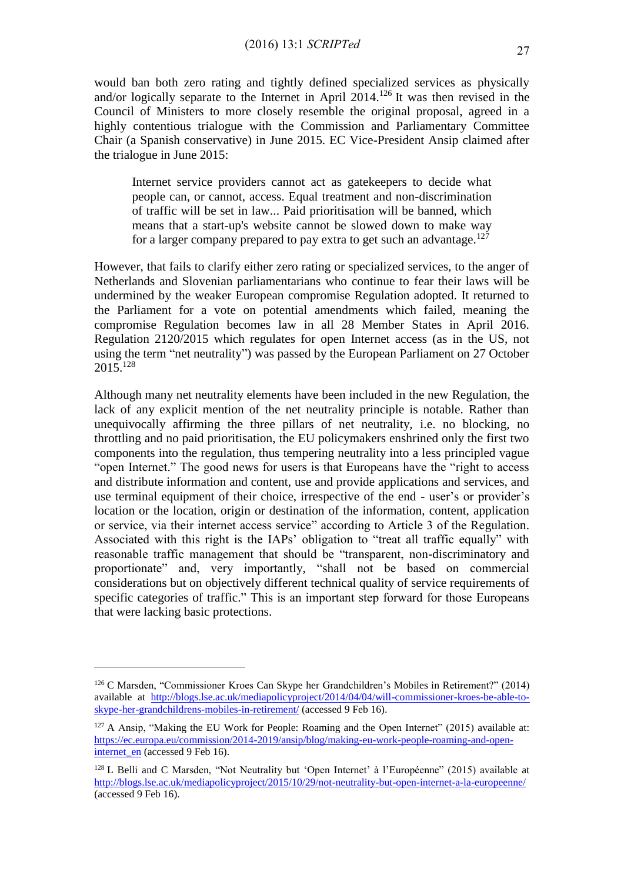would ban both zero rating and tightly defined specialized services as physically and/or logically separate to the Internet in April 2014.<sup>126</sup> It was then revised in the Council of Ministers to more closely resemble the original proposal, agreed in a highly contentious trialogue with the Commission and Parliamentary Committee Chair (a Spanish conservative) in June 2015. EC Vice-President Ansip claimed after the trialogue in June 2015:

Internet service providers cannot act as gatekeepers to decide what people can, or cannot, access. Equal treatment and non-discrimination of traffic will be set in law... Paid prioritisation will be banned, which means that a start-up's website cannot be slowed down to make way for a larger company prepared to pay extra to get such an advantage.<sup>127</sup>

However, that fails to clarify either zero rating or specialized services, to the anger of Netherlands and Slovenian parliamentarians who continue to fear their laws will be undermined by the weaker European compromise Regulation adopted. It returned to the Parliament for a vote on potential amendments which failed, meaning the compromise Regulation becomes law in all 28 Member States in April 2016. Regulation 2120/2015 which regulates for open Internet access (as in the US, not using the term "net neutrality") was passed by the European Parliament on 27 October 2015. 128

Although many net neutrality elements have been included in the new Regulation, the lack of any explicit mention of the net neutrality principle is notable. Rather than unequivocally affirming the three pillars of net neutrality, i.e. no blocking, no throttling and no paid prioritisation, the EU policymakers enshrined only the first two components into the regulation, thus tempering neutrality into a less principled vague "open Internet." The good news for users is that Europeans have the "right to access and distribute information and content, use and provide applications and services, and use terminal equipment of their choice, irrespective of the end - user's or provider's location or the location, origin or destination of the information, content, application or service, via their internet access service" according to Article 3 of the Regulation. Associated with this right is the IAPs' obligation to "treat all traffic equally" with reasonable traffic management that should be "transparent, non-discriminatory and proportionate" and, very importantly, "shall not be based on commercial considerations but on objectively different technical quality of service requirements of specific categories of traffic." This is an important step forward for those Europeans that were lacking basic protections.

<sup>126</sup> C Marsden, "Commissioner Kroes Can Skype her Grandchildren's Mobiles in Retirement?" (2014) available at [http://blogs.lse.ac.uk/mediapolicyproject/2014/04/04/will-commissioner-kroes-be-able-to](http://blogs.lse.ac.uk/mediapolicyproject/2014/04/04/will-commissioner-kroes-be-able-to-skype-her-grandchildrens-mobiles-in-retirement/)[skype-her-grandchildrens-mobiles-in-retirement/](http://blogs.lse.ac.uk/mediapolicyproject/2014/04/04/will-commissioner-kroes-be-able-to-skype-her-grandchildrens-mobiles-in-retirement/) (accessed 9 Feb 16).

<sup>&</sup>lt;sup>127</sup> A Ansip, "Making the EU Work for People: Roaming and the Open Internet" (2015) available at: [https://ec.europa.eu/commission/2014-2019/ansip/blog/making-eu-work-people-roaming-and-open](https://ec.europa.eu/commission/2014-2019/ansip/blog/making-eu-work-people-roaming-and-open-internet_en)internet en (accessed 9 Feb 16).

<sup>128</sup> L Belli and C Marsden, "Not Neutrality but 'Open Internet' à l'Européenne" (2015) available at <http://blogs.lse.ac.uk/mediapolicyproject/2015/10/29/not-neutrality-but-open-internet-a-la-europeenne/> (accessed 9 Feb 16).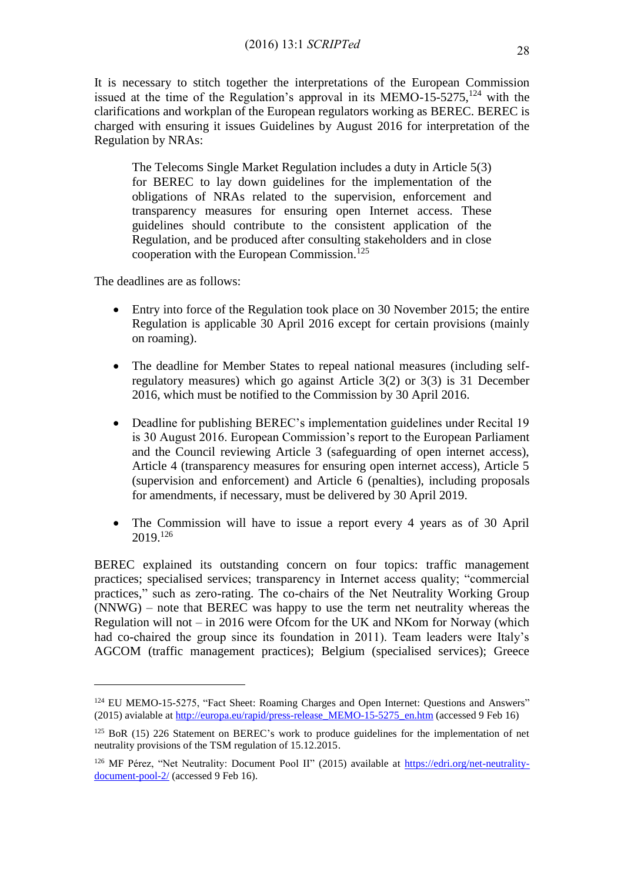It is necessary to stitch together the interpretations of the European Commission issued at the time of the Regulation's approval in its MEMO-15-5275, $^{124}$  with the clarifications and workplan of the European regulators working as BEREC. BEREC is charged with ensuring it issues Guidelines by August 2016 for interpretation of the Regulation by NRAs:

The Telecoms Single Market Regulation includes a duty in Article 5(3) for BEREC to lay down guidelines for the implementation of the obligations of NRAs related to the supervision, enforcement and transparency measures for ensuring open Internet access. These guidelines should contribute to the consistent application of the Regulation, and be produced after consulting stakeholders and in close cooperation with the European Commission.<sup>125</sup>

The deadlines are as follows:

1

- Entry into force of the Regulation took place on 30 November 2015; the entire Regulation is applicable 30 April 2016 except for certain provisions (mainly on roaming).
- The deadline for Member States to repeal national measures (including selfregulatory measures) which go against Article 3(2) or 3(3) is 31 December 2016, which must be notified to the Commission by 30 April 2016.
- Deadline for publishing BEREC's implementation guidelines under Recital 19 is 30 August 2016. European Commission's report to the European Parliament and the Council reviewing Article 3 (safeguarding of open internet access), Article 4 (transparency measures for ensuring open internet access), Article 5 (supervision and enforcement) and Article 6 (penalties), including proposals for amendments, if necessary, must be delivered by 30 April 2019.
- The Commission will have to issue a report every 4 years as of 30 April 2019.<sup>126</sup>

BEREC explained its outstanding concern on four topics: traffic management practices; specialised services; transparency in Internet access quality; "commercial practices," such as zero-rating. The co-chairs of the Net Neutrality Working Group (NNWG) – note that BEREC was happy to use the term net neutrality whereas the Regulation will not – in 2016 were Ofcom for the UK and NKom for Norway (which had co-chaired the group since its foundation in 2011). Team leaders were Italy's AGCOM (traffic management practices); Belgium (specialised services); Greece

<sup>&</sup>lt;sup>124</sup> EU MEMO-15-5275, "Fact Sheet: Roaming Charges and Open Internet: Questions and Answers" (2015) avialable a[t http://europa.eu/rapid/press-release\\_MEMO-15-5275\\_en.htm](http://europa.eu/rapid/press-release_MEMO-15-5275_en.htm) (accessed 9 Feb 16)

 $125$  BoR (15) 226 Statement on BEREC's work to produce guidelines for the implementation of net neutrality provisions of the TSM regulation of 15.12.2015.

<sup>126</sup> MF Pérez, "Net Neutrality: Document Pool II" (2015) available at [https://edri.org/net-neutrality](https://edri.org/net-neutrality-document-pool-2/)[document-pool-2/](https://edri.org/net-neutrality-document-pool-2/) (accessed 9 Feb 16).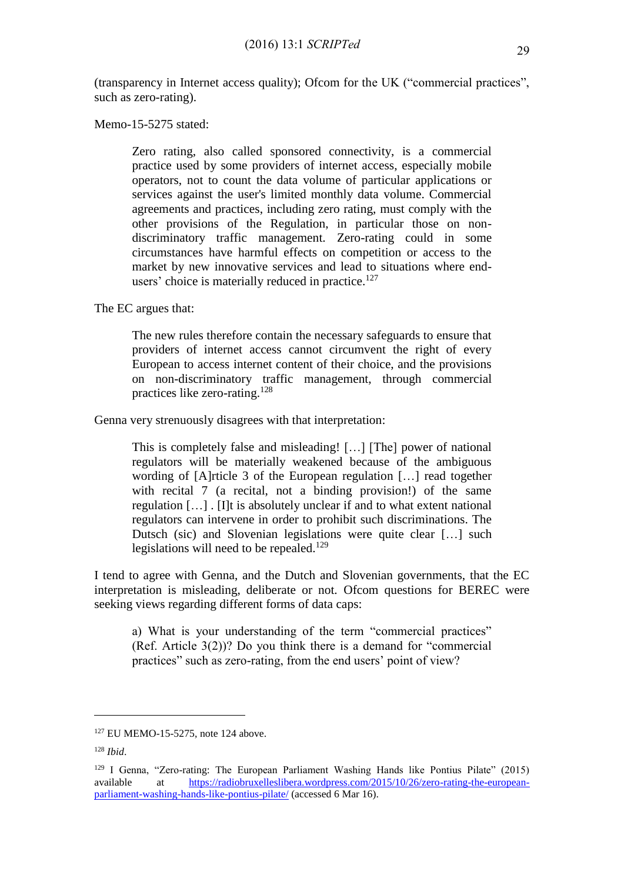(transparency in Internet access quality); Ofcom for the UK ("commercial practices", such as zero-rating).

Memo-15-5275 stated:

Zero rating, also called sponsored connectivity, is a commercial practice used by some providers of internet access, especially mobile operators, not to count the data volume of particular applications or services against the user's limited monthly data volume. Commercial agreements and practices, including zero rating, must comply with the other provisions of the Regulation, in particular those on nondiscriminatory traffic management. Zero-rating could in some circumstances have harmful effects on competition or access to the market by new innovative services and lead to situations where endusers' choice is materially reduced in practice.<sup>127</sup>

The EC argues that:

The new rules therefore contain the necessary safeguards to ensure that providers of internet access cannot circumvent the right of every European to access internet content of their choice, and the provisions on non-discriminatory traffic management, through commercial practices like zero-rating.<sup>128</sup>

Genna very strenuously disagrees with that interpretation:

This is completely false and misleading! […] [The] power of national regulators will be materially weakened because of the ambiguous wording of [A]rticle 3 of the European regulation […] read together with recital 7 (a recital, not a binding provision!) of the same regulation […] . [I]t is absolutely unclear if and to what extent national regulators can intervene in order to prohibit such discriminations. The Dutsch (sic) and Slovenian legislations were quite clear […] such legislations will need to be repealed.<sup>129</sup>

I tend to agree with Genna, and the Dutch and Slovenian governments, that the EC interpretation is misleading, deliberate or not. Ofcom questions for BEREC were seeking views regarding different forms of data caps:

a) What is your understanding of the term "commercial practices" (Ref. Article 3(2))? Do you think there is a demand for "commercial practices" such as zero-rating, from the end users' point of view?

<sup>127</sup> EU MEMO-15-5275, note 124 above.

<sup>128</sup> *Ibid*.

<sup>129</sup> I Genna, "Zero-rating: The European Parliament Washing Hands like Pontius Pilate" (2015) available at [https://radiobruxelleslibera.wordpress.com/2015/10/26/zero-rating-the-european](https://radiobruxelleslibera.wordpress.com/2015/10/26/zero-rating-the-european-parliament-washing-hands-like-pontius-pilate/)[parliament-washing-hands-like-pontius-pilate/](https://radiobruxelleslibera.wordpress.com/2015/10/26/zero-rating-the-european-parliament-washing-hands-like-pontius-pilate/) (accessed 6 Mar 16).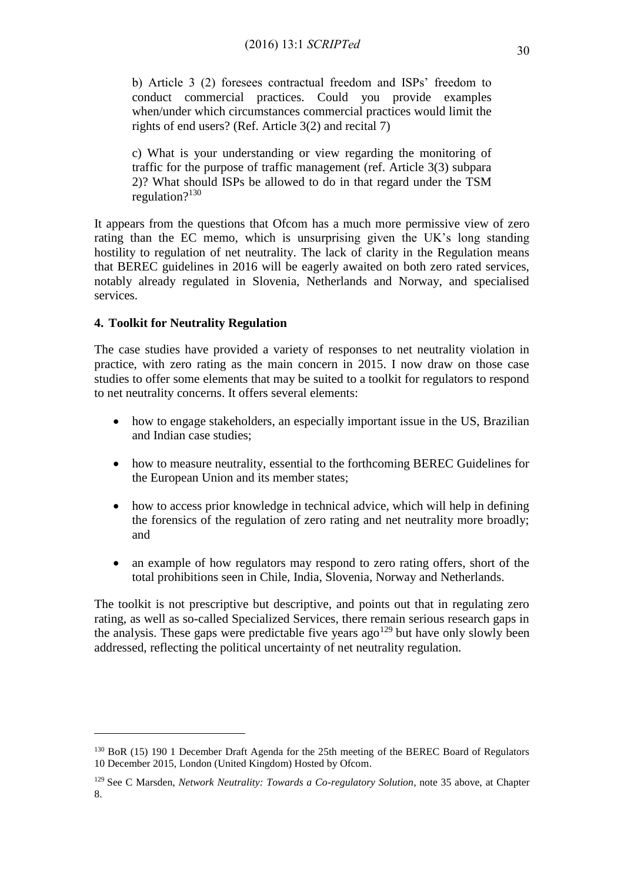b) Article 3 (2) foresees contractual freedom and ISPs' freedom to conduct commercial practices. Could you provide examples when/under which circumstances commercial practices would limit the rights of end users? (Ref. Article 3(2) and recital 7)

c) What is your understanding or view regarding the monitoring of traffic for the purpose of traffic management (ref. Article 3(3) subpara 2)? What should ISPs be allowed to do in that regard under the TSM regulation? $130$ 

It appears from the questions that Ofcom has a much more permissive view of zero rating than the EC memo, which is unsurprising given the UK's long standing hostility to regulation of net neutrality. The lack of clarity in the Regulation means that BEREC guidelines in 2016 will be eagerly awaited on both zero rated services, notably already regulated in Slovenia, Netherlands and Norway, and specialised services.

#### **4. Toolkit for Neutrality Regulation**

1

The case studies have provided a variety of responses to net neutrality violation in practice, with zero rating as the main concern in 2015. I now draw on those case studies to offer some elements that may be suited to a toolkit for regulators to respond to net neutrality concerns. It offers several elements:

- how to engage stakeholders, an especially important issue in the US, Brazilian and Indian case studies;
- how to measure neutrality, essential to the forthcoming BEREC Guidelines for the European Union and its member states;
- how to access prior knowledge in technical advice, which will help in defining the forensics of the regulation of zero rating and net neutrality more broadly; and
- an example of how regulators may respond to zero rating offers, short of the total prohibitions seen in Chile, India, Slovenia, Norway and Netherlands.

The toolkit is not prescriptive but descriptive, and points out that in regulating zero rating, as well as so-called Specialized Services, there remain serious research gaps in the analysis. These gaps were predictable five years ago<sup>129</sup> but have only slowly been addressed, reflecting the political uncertainty of net neutrality regulation.

<sup>&</sup>lt;sup>130</sup> BoR (15) 190 1 December Draft Agenda for the 25th meeting of the BEREC Board of Regulators 10 December 2015, London (United Kingdom) Hosted by Ofcom.

<sup>129</sup> See C Marsden, *Network Neutrality: Towards a Co-regulatory Solution*, note 35 above, at Chapter 8.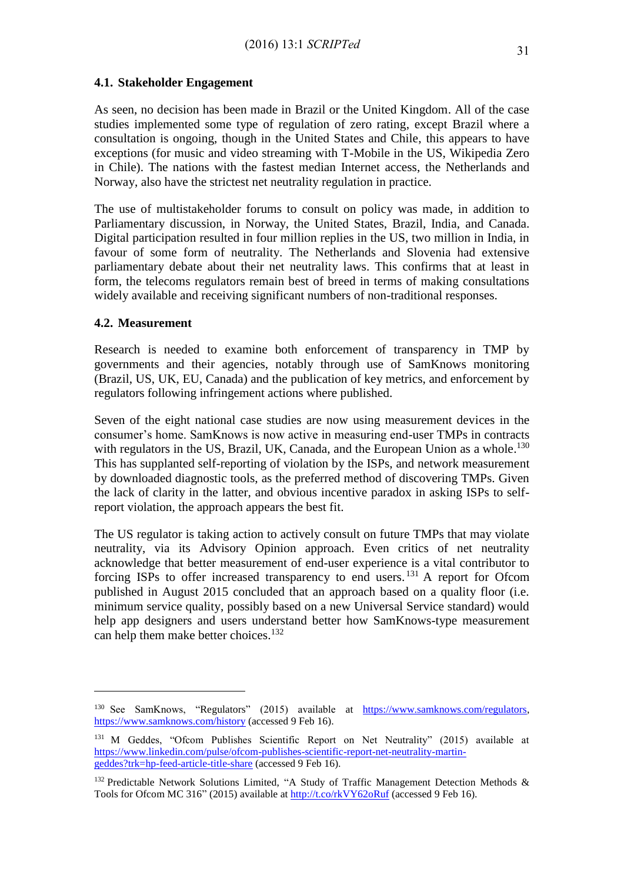#### **4.1. Stakeholder Engagement**

As seen, no decision has been made in Brazil or the United Kingdom. All of the case studies implemented some type of regulation of zero rating, except Brazil where a consultation is ongoing, though in the United States and Chile, this appears to have exceptions (for music and video streaming with T-Mobile in the US, Wikipedia Zero in Chile). The nations with the fastest median Internet access, the Netherlands and Norway, also have the strictest net neutrality regulation in practice.

The use of multistakeholder forums to consult on policy was made, in addition to Parliamentary discussion, in Norway, the United States, Brazil, India, and Canada. Digital participation resulted in four million replies in the US, two million in India, in favour of some form of neutrality. The Netherlands and Slovenia had extensive parliamentary debate about their net neutrality laws. This confirms that at least in form, the telecoms regulators remain best of breed in terms of making consultations widely available and receiving significant numbers of non-traditional responses.

#### **4.2. Measurement**

1

Research is needed to examine both enforcement of transparency in TMP by governments and their agencies, notably through use of SamKnows monitoring (Brazil, US, UK, EU, Canada) and the publication of key metrics, and enforcement by regulators following infringement actions where published.

Seven of the eight national case studies are now using measurement devices in the consumer's home. SamKnows is now active in measuring end-user TMPs in contracts with regulators in the US, Brazil, UK, Canada, and the European Union as a whole.<sup>130</sup> This has supplanted self-reporting of violation by the ISPs, and network measurement by downloaded diagnostic tools, as the preferred method of discovering TMPs. Given the lack of clarity in the latter, and obvious incentive paradox in asking ISPs to selfreport violation, the approach appears the best fit.

The US regulator is taking action to actively consult on future TMPs that may violate neutrality, via its Advisory Opinion approach. Even critics of net neutrality acknowledge that better measurement of end-user experience is a vital contributor to forcing ISPs to offer increased transparency to end users.<sup>131</sup> A report for Ofcom published in August 2015 concluded that an approach based on a quality floor (i.e. minimum service quality, possibly based on a new Universal Service standard) would help app designers and users understand better how SamKnows-type measurement can help them make better choices.<sup>132</sup>

<sup>&</sup>lt;sup>130</sup> See SamKnows, "Regulators" (2015) available at [https://www.samknows.com/regulators,](https://www.samknows.com/regulators) <https://www.samknows.com/history> (accessed 9 Feb 16).

<sup>&</sup>lt;sup>131</sup> M Geddes, "Ofcom Publishes Scientific Report on Net Neutrality" (2015) available at [https://www.linkedin.com/pulse/ofcom-publishes-scientific-report-net-neutrality-martin](https://www.linkedin.com/pulse/ofcom-publishes-scientific-report-net-neutrality-martin-geddes?trk=hp-feed-article-title-share)[geddes?trk=hp-feed-article-title-share](https://www.linkedin.com/pulse/ofcom-publishes-scientific-report-net-neutrality-martin-geddes?trk=hp-feed-article-title-share) (accessed 9 Feb 16).

 $132$  Predictable Network Solutions Limited, "A Study of Traffic Management Detection Methods & Tools for Ofcom MC 316" (2015) available at<http://t.co/rkVY62oRuf> (accessed 9 Feb 16).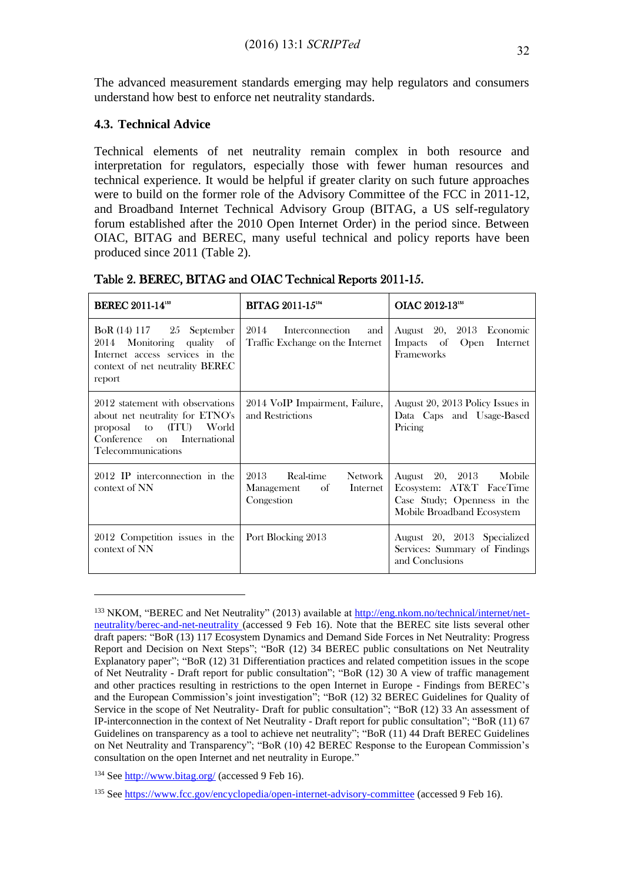The advanced measurement standards emerging may help regulators and consumers understand how best to enforce net neutrality standards.

#### **4.3. Technical Advice**

Technical elements of net neutrality remain complex in both resource and interpretation for regulators, especially those with fewer human resources and technical experience. It would be helpful if greater clarity on such future approaches were to build on the former role of the Advisory Committee of the FCC in 2011-12, and Broadband Internet Technical Advisory Group (BITAG, a US self-regulatory forum established after the 2010 Open Internet Order) in the period since. Between OIAC, BITAG and BEREC, many useful technical and policy reports have been produced since 2011 (Table 2).

| <b>BEREC 2011-14133</b>                                                                                                                                | <b>BITAG 2011-15</b> <sup>184</sup>                                     | OIAC 2012-13 <sup>135</sup>                                                                                     |
|--------------------------------------------------------------------------------------------------------------------------------------------------------|-------------------------------------------------------------------------|-----------------------------------------------------------------------------------------------------------------|
| BoR (14) 117 25 September<br>2014 Monitoring quality of<br>Internet access services in the<br>context of net neutrality BEREC<br>report                | 2014<br>Interconnection<br>and<br>Traffic Exchange on the Internet      | August 20, 2013 Economic<br>Impacts of Open<br>Internet<br>Frameworks                                           |
| 2012 statement with observations<br>about net neutrality for ETNO's<br>World<br>proposal to (ITU)<br>Conference on International<br>Telecommunications | 2014 VoIP Impairment, Failure,<br>and Restrictions                      | August 20, 2013 Policy Issues in<br>Data Caps and Usage-Based<br>Pricing                                        |
| $2012$ IP interconnection in the<br>context of NN                                                                                                      | 2013 Real-time<br>Network<br>Management<br>of<br>Internet<br>Congestion | August 20, 2013 Mobile<br>Ecosystem: AT&T FaceTime<br>Case Study; Openness in the<br>Mobile Broadband Ecosystem |
| 2012 Competition issues in the<br>context of NN                                                                                                        | Port Blocking 2013                                                      | August 20, 2013 Specialized<br>Services: Summary of Findings<br>and Conclusions                                 |

Table 2. BEREC, BITAG and OIAC Technical Reports 2011-15.

<sup>&</sup>lt;sup>133</sup> NKOM, "BEREC and Net Neutrality" (2013) available at [http://eng.nkom.no/technical/internet/net](http://eng.nkom.no/technical/internet/net-neutrality/berec-and-net-neutrality)[neutrality/berec-and-net-neutrality](http://eng.nkom.no/technical/internet/net-neutrality/berec-and-net-neutrality) (accessed 9 Feb 16). Note that the BEREC site lists several other draft papers: "BoR (13) 117 Ecosystem Dynamics and Demand Side Forces in Net Neutrality: Progress Report and Decision on Next Steps"; "BoR (12) 34 BEREC public consultations on Net Neutrality Explanatory paper"; "BoR (12) 31 Differentiation practices and related competition issues in the scope of Net Neutrality - Draft report for public consultation"; "BoR (12) 30 A view of traffic management and other practices resulting in restrictions to the open Internet in Europe - Findings from BEREC's and the European Commission's joint investigation"; "BoR (12) 32 BEREC Guidelines for Quality of Service in the scope of Net Neutrality- Draft for public consultation"; "BoR (12) 33 An assessment of IP-interconnection in the context of Net Neutrality - Draft report for public consultation"; "BoR (11) 67 Guidelines on transparency as a tool to achieve net neutrality"; "BoR (11) 44 Draft BEREC Guidelines on Net Neutrality and Transparency"; "BoR (10) 42 BEREC Response to the European Commission's consultation on the open Internet and net neutrality in Europe."

<sup>134</sup> See<http://www.bitag.org/> (accessed 9 Feb 16).

<sup>135</sup> See<https://www.fcc.gov/encyclopedia/open-internet-advisory-committee> (accessed 9 Feb 16).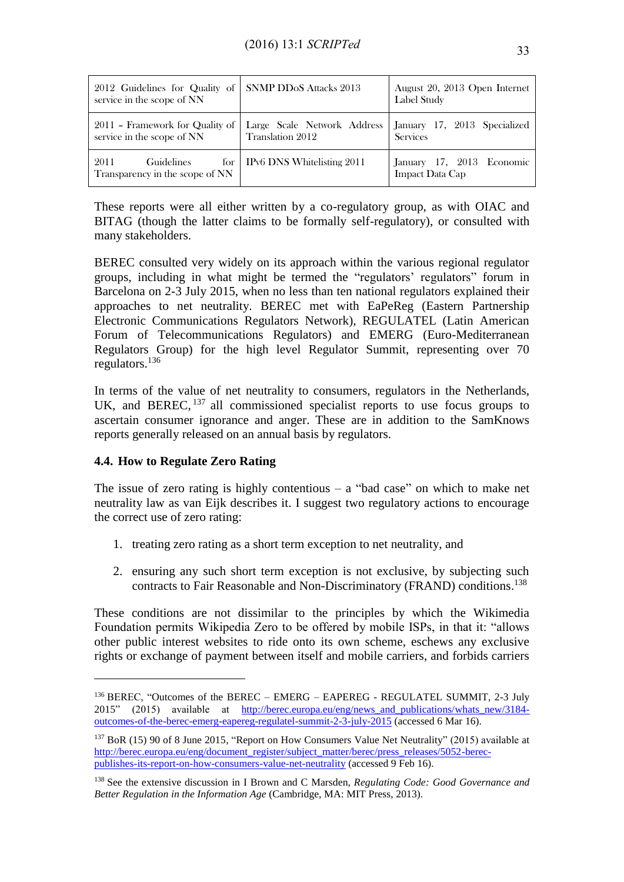| 2012 Guidelines for Quality of<br>service in the scope of NN  | SNMP DDoS Attacks 2013                          | August 20, 2013 Open Internet<br>Label Study        |
|---------------------------------------------------------------|-------------------------------------------------|-----------------------------------------------------|
| 2011 - Framework for Quality of<br>service in the scope of NN | Large Scale Network Address<br>Translation 2012 | January 17, 2013 Specialized<br><b>Services</b>     |
| 2011<br>Guidelines<br>for<br>Transparency in the scope of NN  | IPv6 DNS Whitelisting 2011                      | January 17, 2013 Economic<br><b>Impact Data Cap</b> |

These reports were all either written by a co-regulatory group, as with OIAC and BITAG (though the latter claims to be formally self-regulatory), or consulted with many stakeholders.

BEREC consulted very widely on its approach within the various regional regulator groups, including in what might be termed the "regulators' regulators" forum in Barcelona on 2-3 July 2015, when no less than ten national regulators explained their approaches to net neutrality. BEREC met with EaPeReg (Eastern Partnership Electronic Communications Regulators Network), REGULATEL (Latin American Forum of Telecommunications Regulators) and EMERG (Euro-Mediterranean Regulators Group) for the high level Regulator Summit, representing over 70 regulators. 136

In terms of the value of net neutrality to consumers, regulators in the Netherlands, UK, and BEREC, <sup>137</sup> all commissioned specialist reports to use focus groups to ascertain consumer ignorance and anger. These are in addition to the SamKnows reports generally released on an annual basis by regulators.

#### **4.4. How to Regulate Zero Rating**

1

The issue of zero rating is highly contentious  $-$  a "bad case" on which to make net neutrality law as van Eijk describes it. I suggest two regulatory actions to encourage the correct use of zero rating:

- 1. treating zero rating as a short term exception to net neutrality, and
- 2. ensuring any such short term exception is not exclusive, by subjecting such contracts to Fair Reasonable and Non-Discriminatory (FRAND) conditions.<sup>138</sup>

These conditions are not dissimilar to the principles by which the Wikimedia Foundation permits Wikipedia Zero to be offered by mobile ISPs, in that it: "allows other public interest websites to ride onto its own scheme, eschews any exclusive rights or exchange of payment between itself and mobile carriers, and forbids carriers

 $136$  BEREC, "Outcomes of the BEREC – EMERG – EAPEREG - REGULATEL SUMMIT, 2-3 July 2015" (2015) available at [http://berec.europa.eu/eng/news\\_and\\_publications/whats\\_new/3184](http://berec.europa.eu/eng/news_and_publications/whats_new/3184-outcomes-of-the-berec-emerg-eapereg-regulatel-summit-2-3-july-2015) [outcomes-of-the-berec-emerg-eapereg-regulatel-summit-2-3-july-2015](http://berec.europa.eu/eng/news_and_publications/whats_new/3184-outcomes-of-the-berec-emerg-eapereg-regulatel-summit-2-3-july-2015) (accessed 6 Mar 16).

<sup>&</sup>lt;sup>137</sup> BoR (15) 90 of 8 June 2015, "Report on How Consumers Value Net Neutrality" (2015) available at [http://berec.europa.eu/eng/document\\_register/subject\\_matter/berec/press\\_releases/5052-berec](http://berec.europa.eu/eng/document_register/subject_matter/berec/press_releases/5052-berec-publishes-its-report-on-how-consumers-value-net-neutrality)[publishes-its-report-on-how-consumers-value-net-neutrality](http://berec.europa.eu/eng/document_register/subject_matter/berec/press_releases/5052-berec-publishes-its-report-on-how-consumers-value-net-neutrality) (accessed 9 Feb 16).

<sup>138</sup> See the extensive discussion in I Brown and C Marsden, *Regulating Code: Good Governance and Better Regulation in the Information Age* (Cambridge, MA: MIT Press, 2013).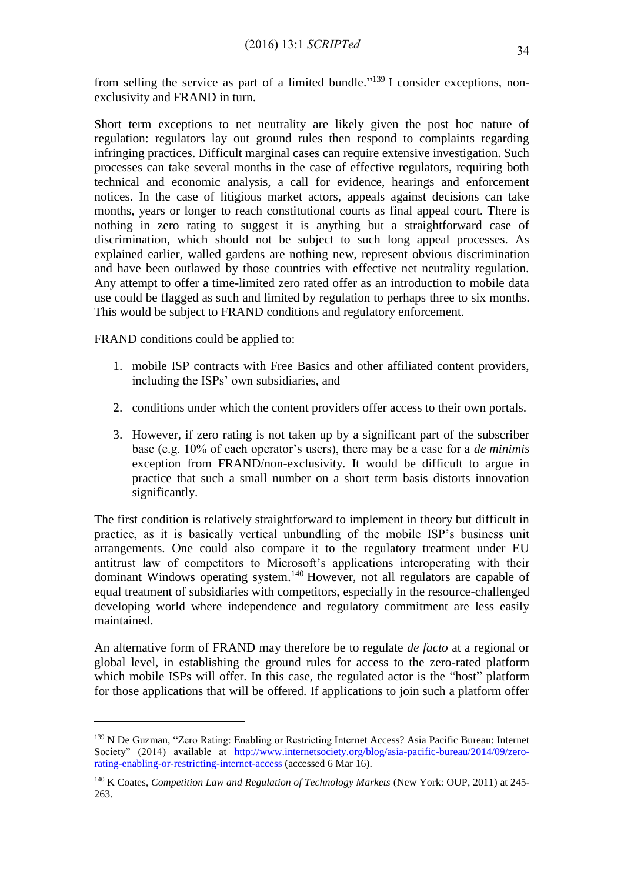from selling the service as part of a limited bundle."<sup>139</sup> I consider exceptions, nonexclusivity and FRAND in turn.

Short term exceptions to net neutrality are likely given the post hoc nature of regulation: regulators lay out ground rules then respond to complaints regarding infringing practices. Difficult marginal cases can require extensive investigation. Such processes can take several months in the case of effective regulators, requiring both technical and economic analysis, a call for evidence, hearings and enforcement notices. In the case of litigious market actors, appeals against decisions can take months, years or longer to reach constitutional courts as final appeal court. There is nothing in zero rating to suggest it is anything but a straightforward case of discrimination, which should not be subject to such long appeal processes. As explained earlier, walled gardens are nothing new, represent obvious discrimination and have been outlawed by those countries with effective net neutrality regulation. Any attempt to offer a time-limited zero rated offer as an introduction to mobile data use could be flagged as such and limited by regulation to perhaps three to six months. This would be subject to FRAND conditions and regulatory enforcement.

FRAND conditions could be applied to:

<u>.</u>

- 1. mobile ISP contracts with Free Basics and other affiliated content providers, including the ISPs' own subsidiaries, and
- 2. conditions under which the content providers offer access to their own portals.
- 3. However, if zero rating is not taken up by a significant part of the subscriber base (e.g. 10% of each operator's users), there may be a case for a *de minimis* exception from FRAND/non-exclusivity. It would be difficult to argue in practice that such a small number on a short term basis distorts innovation significantly.

The first condition is relatively straightforward to implement in theory but difficult in practice, as it is basically vertical unbundling of the mobile ISP's business unit arrangements. One could also compare it to the regulatory treatment under EU antitrust law of competitors to Microsoft's applications interoperating with their dominant Windows operating system.<sup>140</sup> However, not all regulators are capable of equal treatment of subsidiaries with competitors, especially in the resource-challenged developing world where independence and regulatory commitment are less easily maintained.

An alternative form of FRAND may therefore be to regulate *de facto* at a regional or global level, in establishing the ground rules for access to the zero-rated platform which mobile ISPs will offer. In this case, the regulated actor is the "host" platform for those applications that will be offered. If applications to join such a platform offer

<sup>139</sup> N De Guzman, "Zero Rating: Enabling or Restricting Internet Access? Asia Pacific Bureau: Internet Society" (2014) available at [http://www.internetsociety.org/blog/asia-pacific-bureau/2014/09/zero](http://www.internetsociety.org/blog/asia-pacific-bureau/2014/09/zero-rating-enabling-or-restricting-internet-access)[rating-enabling-or-restricting-internet-access](http://www.internetsociety.org/blog/asia-pacific-bureau/2014/09/zero-rating-enabling-or-restricting-internet-access) (accessed 6 Mar 16).

<sup>&</sup>lt;sup>140</sup> K Coates, *Competition Law and Regulation of Technology Markets* (New York: OUP, 2011) at 245-263.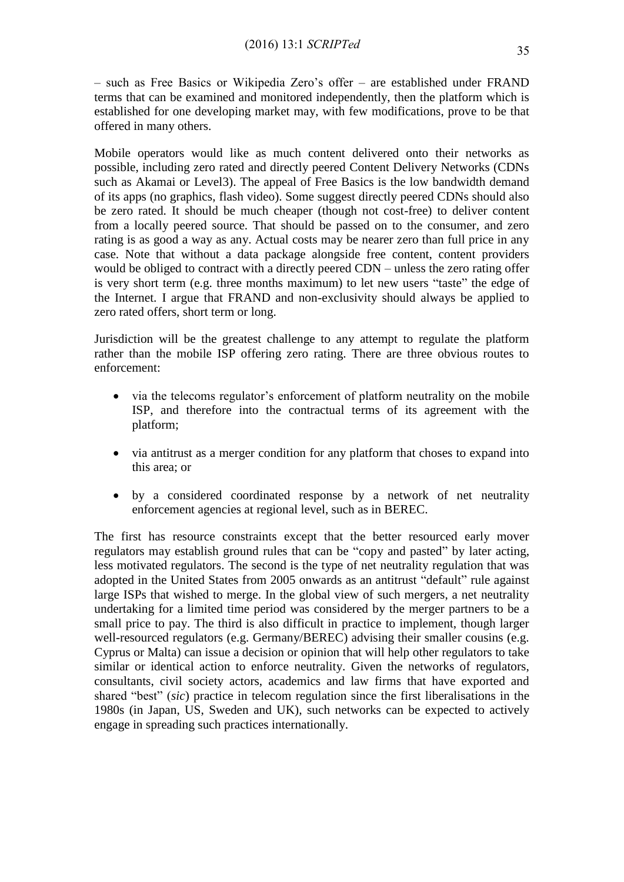– such as Free Basics or Wikipedia Zero's offer – are established under FRAND terms that can be examined and monitored independently, then the platform which is established for one developing market may, with few modifications, prove to be that offered in many others.

Mobile operators would like as much content delivered onto their networks as possible, including zero rated and directly peered Content Delivery Networks (CDNs such as Akamai or Level3). The appeal of Free Basics is the low bandwidth demand of its apps (no graphics, flash video). Some suggest directly peered CDNs should also be zero rated. It should be much cheaper (though not cost-free) to deliver content from a locally peered source. That should be passed on to the consumer, and zero rating is as good a way as any. Actual costs may be nearer zero than full price in any case. Note that without a data package alongside free content, content providers would be obliged to contract with a directly peered CDN – unless the zero rating offer is very short term (e.g. three months maximum) to let new users "taste" the edge of the Internet. I argue that FRAND and non-exclusivity should always be applied to zero rated offers, short term or long.

Jurisdiction will be the greatest challenge to any attempt to regulate the platform rather than the mobile ISP offering zero rating. There are three obvious routes to enforcement:

- via the telecoms regulator's enforcement of platform neutrality on the mobile ISP, and therefore into the contractual terms of its agreement with the platform;
- via antitrust as a merger condition for any platform that choses to expand into this area; or
- by a considered coordinated response by a network of net neutrality enforcement agencies at regional level, such as in BEREC.

The first has resource constraints except that the better resourced early mover regulators may establish ground rules that can be "copy and pasted" by later acting, less motivated regulators. The second is the type of net neutrality regulation that was adopted in the United States from 2005 onwards as an antitrust "default" rule against large ISPs that wished to merge. In the global view of such mergers, a net neutrality undertaking for a limited time period was considered by the merger partners to be a small price to pay. The third is also difficult in practice to implement, though larger well-resourced regulators (e.g. Germany/BEREC) advising their smaller cousins (e.g. Cyprus or Malta) can issue a decision or opinion that will help other regulators to take similar or identical action to enforce neutrality. Given the networks of regulators, consultants, civil society actors, academics and law firms that have exported and shared "best" (*sic*) practice in telecom regulation since the first liberalisations in the 1980s (in Japan, US, Sweden and UK), such networks can be expected to actively engage in spreading such practices internationally.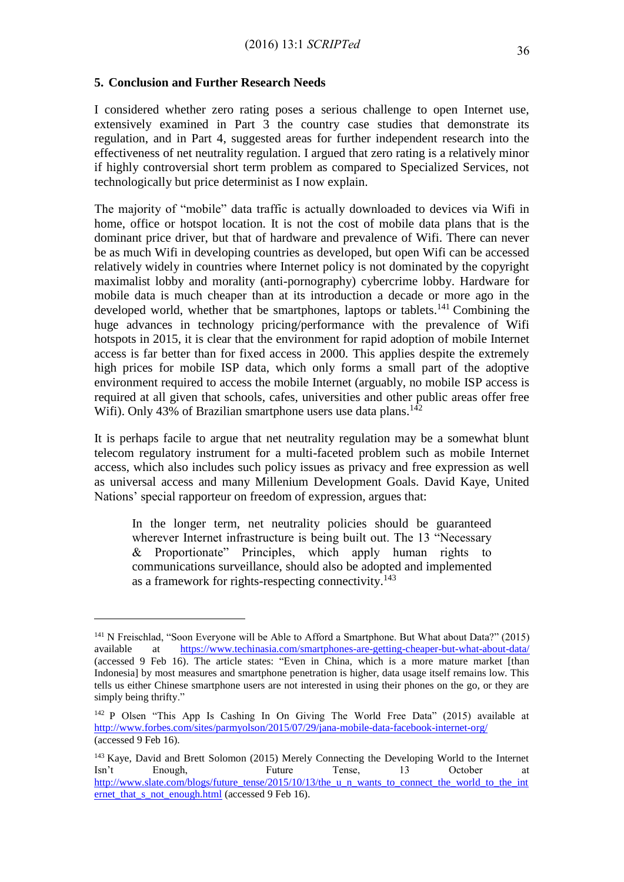#### **5. Conclusion and Further Research Needs**

1

I considered whether zero rating poses a serious challenge to open Internet use, extensively examined in Part 3 the country case studies that demonstrate its regulation, and in Part 4, suggested areas for further independent research into the effectiveness of net neutrality regulation. I argued that zero rating is a relatively minor if highly controversial short term problem as compared to Specialized Services, not technologically but price determinist as I now explain.

The majority of "mobile" data traffic is actually downloaded to devices via Wifi in home, office or hotspot location. It is not the cost of mobile data plans that is the dominant price driver, but that of hardware and prevalence of Wifi. There can never be as much Wifi in developing countries as developed, but open Wifi can be accessed relatively widely in countries where Internet policy is not dominated by the copyright maximalist lobby and morality (anti-pornography) cybercrime lobby. Hardware for mobile data is much cheaper than at its introduction a decade or more ago in the developed world, whether that be smartphones, laptops or tablets.<sup>141</sup> Combining the huge advances in technology pricing/performance with the prevalence of Wifi hotspots in 2015, it is clear that the environment for rapid adoption of mobile Internet access is far better than for fixed access in 2000. This applies despite the extremely high prices for mobile ISP data, which only forms a small part of the adoptive environment required to access the mobile Internet (arguably, no mobile ISP access is required at all given that schools, cafes, universities and other public areas offer free Wifi). Only 43% of Brazilian smartphone users use data plans.<sup>142</sup>

It is perhaps facile to argue that net neutrality regulation may be a somewhat blunt telecom regulatory instrument for a multi-faceted problem such as mobile Internet access, which also includes such policy issues as privacy and free expression as well as universal access and many Millenium Development Goals. David Kaye, United Nations' special rapporteur on freedom of expression, argues that:

In the longer term, net neutrality policies should be guaranteed wherever Internet infrastructure is being built out. The 13 "Necessary & Proportionate" Principles, which apply human rights to communications surveillance, should also be adopted and implemented as a framework for rights-respecting connectivity.<sup>143</sup>

<sup>&</sup>lt;sup>141</sup> N Freischlad, "Soon Everyone will be Able to Afford a Smartphone. But What about Data?" (2015) available at <https://www.techinasia.com/smartphones-are-getting-cheaper-but-what-about-data/> (accessed 9 Feb 16). The article states: "Even in China, which is a more mature market [than Indonesia] by most measures and smartphone penetration is higher, data usage itself remains low. This tells us either Chinese smartphone users are not interested in using their phones on the go, or they are simply being thrifty."

<sup>&</sup>lt;sup>142</sup> P Olsen "This App Is Cashing In On Giving The World Free Data" (2015) available at <http://www.forbes.com/sites/parmyolson/2015/07/29/jana-mobile-data-facebook-internet-org/> (accessed 9 Feb 16).

<sup>&</sup>lt;sup>143</sup> Kaye, David and Brett Solomon (2015) Merely Connecting the Developing World to the Internet Isn't Enough, Future Tense, 13 October at [http://www.slate.com/blogs/future\\_tense/2015/10/13/the\\_u\\_n\\_wants\\_to\\_connect\\_the\\_world\\_to\\_the\\_int](http://www.slate.com/blogs/future_tense/2015/10/13/the_u_n_wants_to_connect_the_world_to_the_internet_that_s_not_enough.html) [ernet\\_that\\_s\\_not\\_enough.html](http://www.slate.com/blogs/future_tense/2015/10/13/the_u_n_wants_to_connect_the_world_to_the_internet_that_s_not_enough.html) (accessed 9 Feb 16).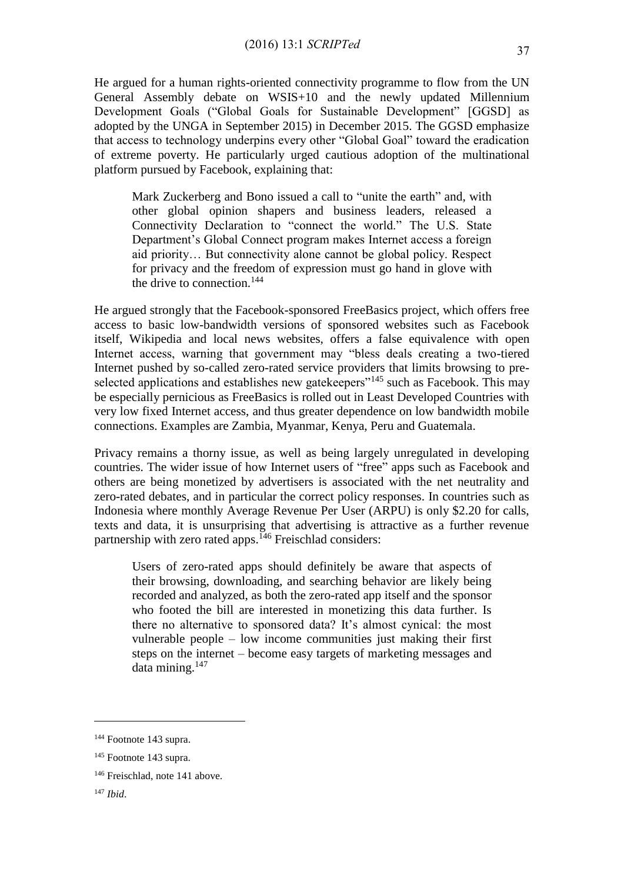He argued for a human rights-oriented connectivity programme to flow from the UN General Assembly debate on WSIS+10 and the newly updated Millennium Development Goals ("Global Goals for Sustainable Development" [GGSD] as adopted by the UNGA in September 2015) in December 2015. The GGSD emphasize that access to technology underpins every other "Global Goal" toward the eradication of extreme poverty. He particularly urged cautious adoption of the multinational platform pursued by Facebook, explaining that:

Mark Zuckerberg and Bono issued a call to "unite the earth" and, with other global opinion shapers and business leaders, released a Connectivity Declaration to "connect the world." The U.S. State Department's Global Connect program makes Internet access a foreign aid priority… But connectivity alone cannot be global policy. Respect for privacy and the freedom of expression must go hand in glove with the drive to connection.  $144$ 

He argued strongly that the Facebook-sponsored FreeBasics project, which offers free access to basic low-bandwidth versions of sponsored websites such as Facebook itself, Wikipedia and local news websites, offers a false equivalence with open Internet access, warning that government may "bless deals creating a two-tiered Internet pushed by so-called zero-rated service providers that limits browsing to preselected applications and establishes new gatekeepers<sup>"145</sup> such as Facebook. This may be especially pernicious as FreeBasics is rolled out in Least Developed Countries with very low fixed Internet access, and thus greater dependence on low bandwidth mobile connections. Examples are Zambia, Myanmar, Kenya, Peru and Guatemala.

Privacy remains a thorny issue, as well as being largely unregulated in developing countries. The wider issue of how Internet users of "free" apps such as Facebook and others are being monetized by advertisers is associated with the net neutrality and zero-rated debates, and in particular the correct policy responses. In countries such as Indonesia where monthly Average Revenue Per User (ARPU) is only \$2.20 for calls, texts and data, it is unsurprising that advertising is attractive as a further revenue partnership with zero rated apps.<sup>146</sup> Freischlad considers:

Users of zero-rated apps should definitely be aware that aspects of their browsing, downloading, and searching behavior are likely being recorded and analyzed, as both the zero-rated app itself and the sponsor who footed the bill are interested in monetizing this data further. Is there no alternative to sponsored data? It's almost cynical: the most vulnerable people – low income communities just making their first steps on the internet – become easy targets of marketing messages and data mining. $147$ 

1

<sup>144</sup> Footnote 143 supra.

<sup>145</sup> Footnote 143 supra.

<sup>146</sup> Freischlad, note 141 above.

<sup>147</sup> *Ibid*.